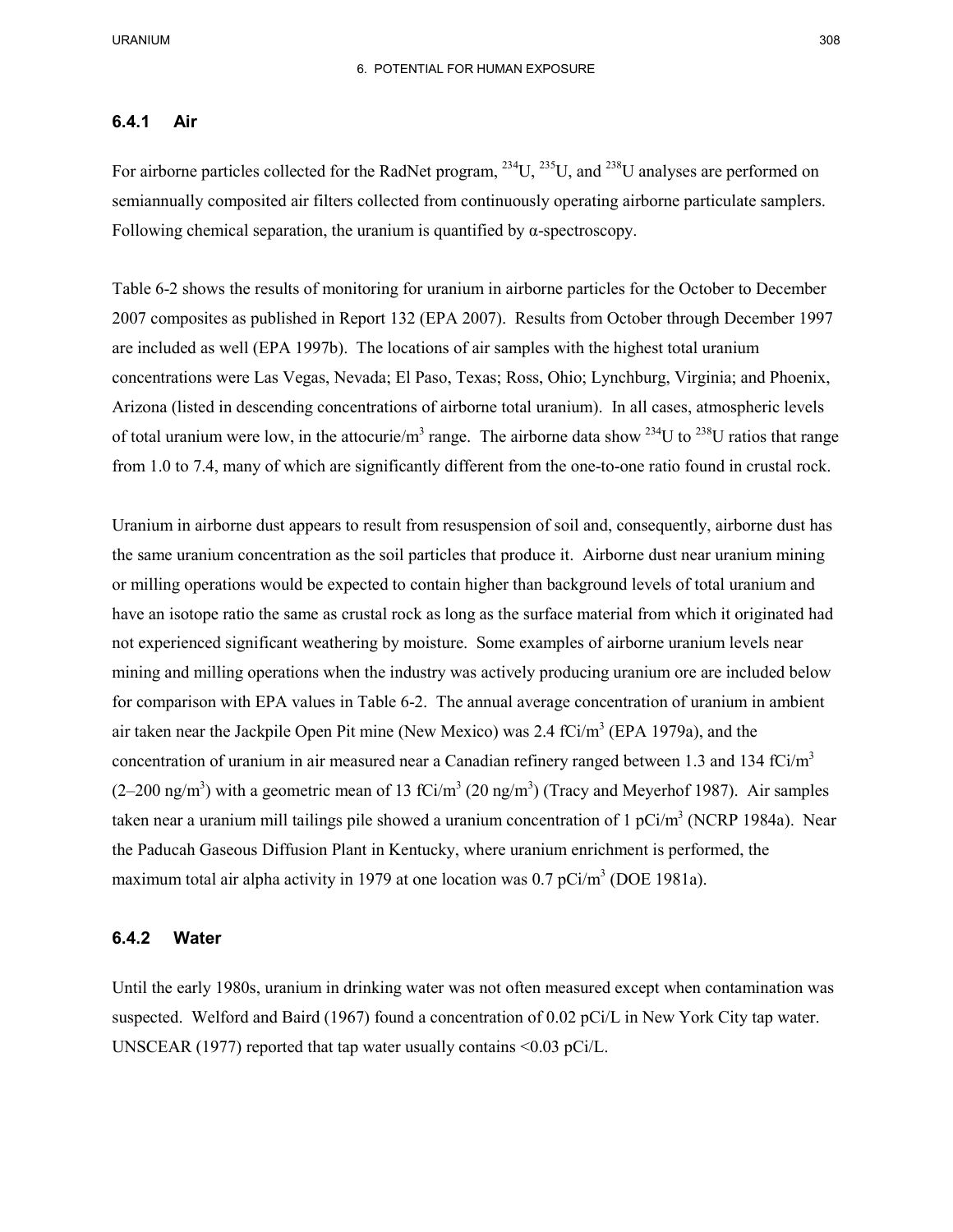### **6.4.1 Air**

For airborne particles collected for the RadNet program,  $^{234}$ U,  $^{235}$ U, and  $^{238}$ U analyses are performed on Following chemical separation, the uranium is quantified by  $\alpha$ -spectroscopy. semiannually composited air filters collected from continuously operating airborne particulate samplers.

 Table 6-2 shows the results of monitoring for uranium in airborne particles for the October to December are included as well (EPA 1997b). The locations of air samples with the highest total uranium Arizona (listed in descending concentrations of airborne total uranium). In all cases, atmospheric levels of total uranium were low, in the attocurie/m<sup>3</sup> range. The airborne data show <sup>234</sup>U to <sup>238</sup>U ratios that range 2007 composites as published in Report 132 (EPA 2007). Results from October through December 1997 concentrations were Las Vegas, Nevada; El Paso, Texas; Ross, Ohio; Lynchburg, Virginia; and Phoenix, from 1.0 to 7.4, many of which are significantly different from the one-to-one ratio found in crustal rock.

 the same uranium concentration as the soil particles that produce it. Airborne dust near uranium mining have an isotope ratio the same as crustal rock as long as the surface material from which it originated had not experienced significant weathering by moisture. Some examples of airborne uranium levels near for comparison with EPA values in Table 6-2. The annual average concentration of uranium in ambient air taken near the Jackpile Open Pit mine (New Mexico) was  $2.4 \text{ fCi/m}^3$  (EPA 1979a), and the concentration of uranium in air measured near a Canadian refinery ranged between 1.3 and 134 fCi/ $m<sup>3</sup>$  $(2-200 \text{ ng/m}^3)$  with a geometric mean of 13 fCi/m<sup>3</sup> (20 ng/m<sup>3</sup>) (Tracy and Meyerhof 1987). Air samples maximum total air alpha activity in 1979 at one location was  $0.7$  pCi/m<sup>3</sup> (DOE 1981a). Uranium in airborne dust appears to result from resuspension of soil and, consequently, airborne dust has or milling operations would be expected to contain higher than background levels of total uranium and mining and milling operations when the industry was actively producing uranium ore are included below taken near a uranium mill tailings pile showed a uranium concentration of 1 pCi/m<sup>3</sup> (NCRP 1984a). Near the Paducah Gaseous Diffusion Plant in Kentucky, where uranium enrichment is performed, the

#### **6.4.2 Water**

 suspected. Welford and Baird (1967) found a concentration of 0.02 pCi/L in New York City tap water. Until the early 1980s, uranium in drinking water was not often measured except when contamination was UNSCEAR (1977) reported that tap water usually contains <0.03 pCi/L.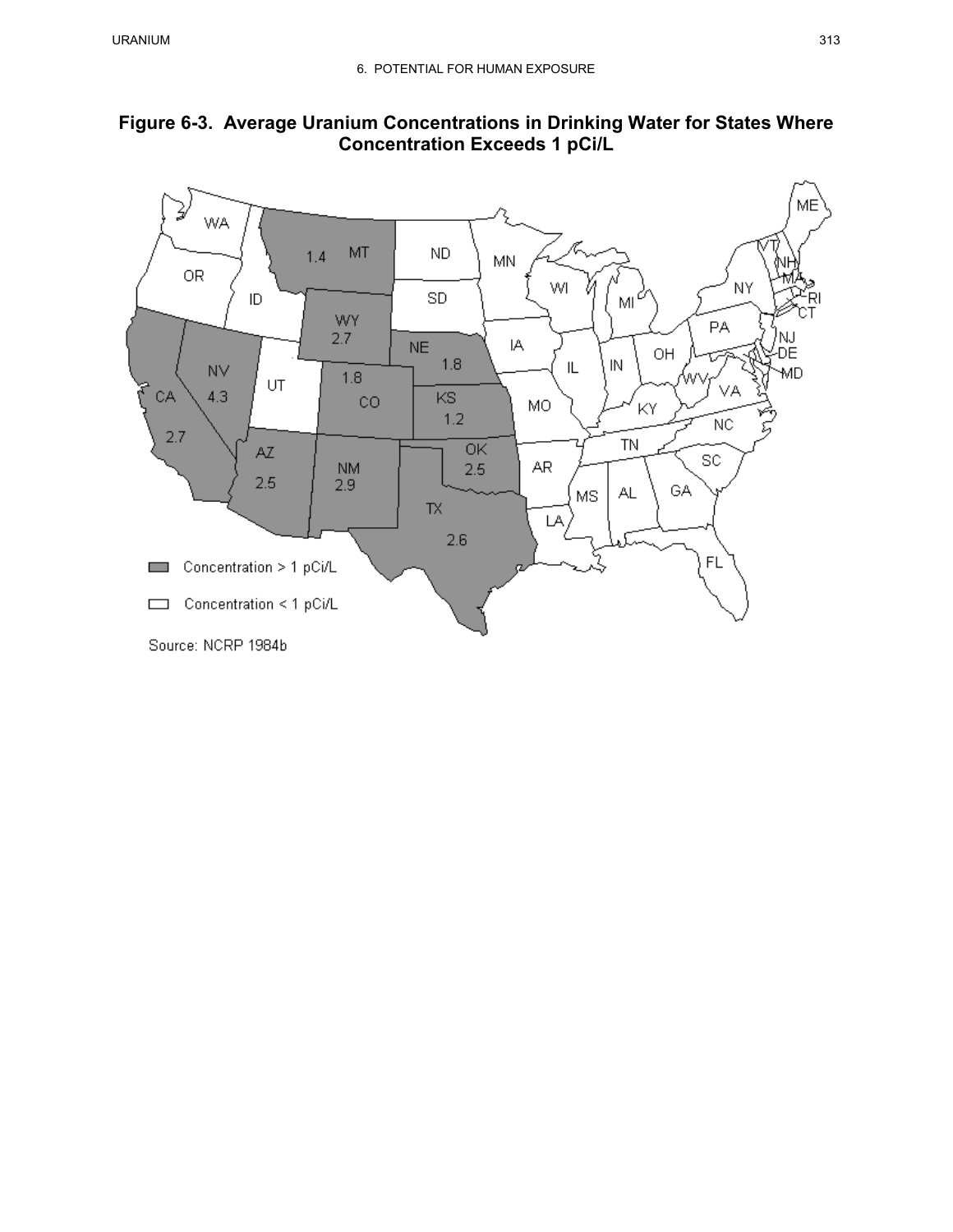

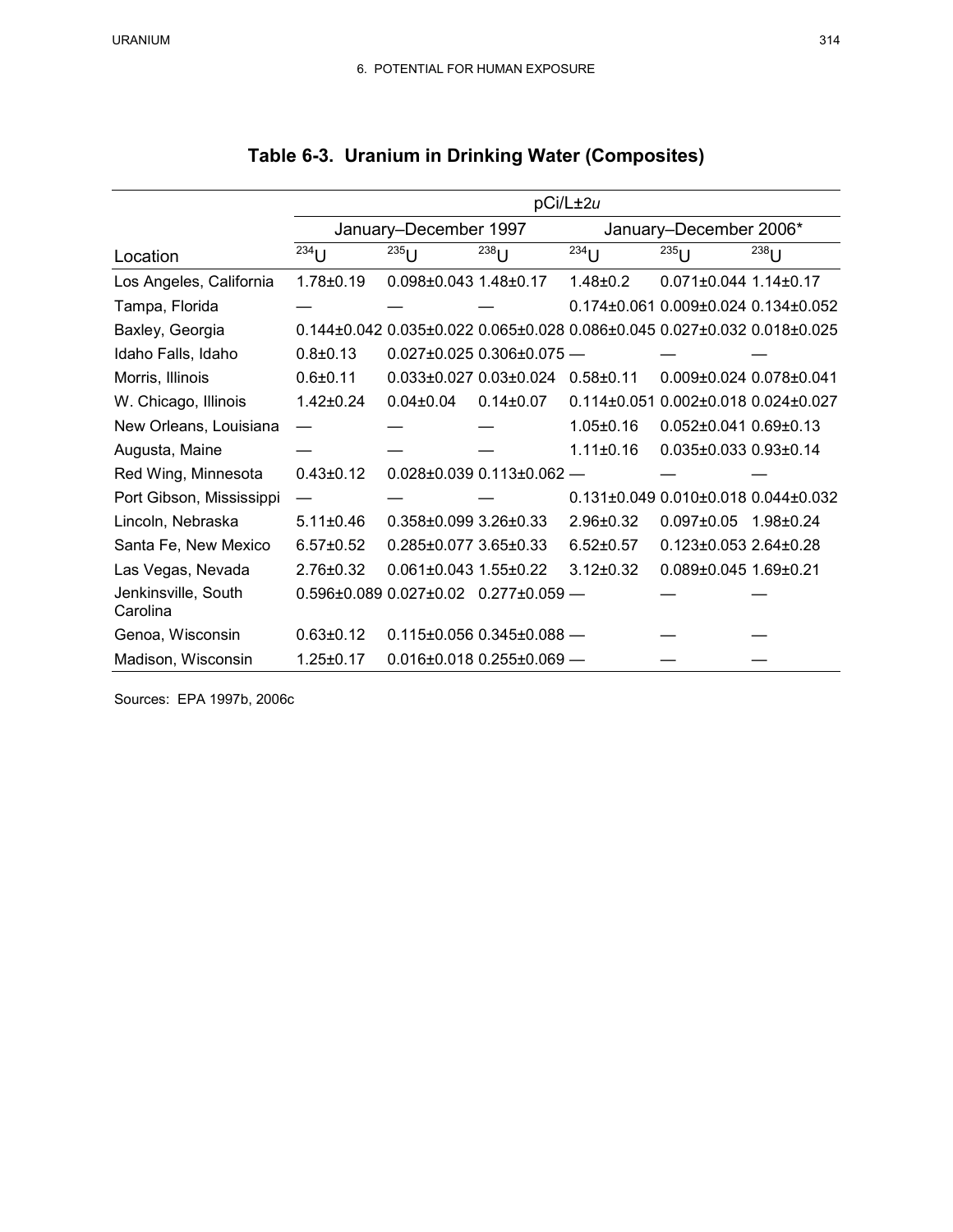|                                 | pCi/L±2u        |                                 |                                                  |                        |                                                                                                 |                 |  |  |  |  |  |
|---------------------------------|-----------------|---------------------------------|--------------------------------------------------|------------------------|-------------------------------------------------------------------------------------------------|-----------------|--|--|--|--|--|
|                                 |                 | January-December 1997           |                                                  | January-December 2006* |                                                                                                 |                 |  |  |  |  |  |
| Location                        | $^{234}$ U      | $^{235}$ U                      | $^{238}$ U                                       | $^{234}$ U             | $^{235}$ U                                                                                      | $^{238}$ U      |  |  |  |  |  |
| Los Angeles, California         | $1.78 + 0.19$   | $0.098\pm0.043$ 1.48 $\pm$ 0.17 |                                                  | $1.48 + 0.2$           | $0.071 + 0.044$ 1.14 + 0.17                                                                     |                 |  |  |  |  |  |
| Tampa, Florida                  |                 |                                 |                                                  |                        | 0.174±0.061 0.009±0.024 0.134±0.052                                                             |                 |  |  |  |  |  |
| Baxley, Georgia                 |                 |                                 |                                                  |                        | $0.144\pm0.042$ $0.035\pm0.022$ $0.065\pm0.028$ $0.086\pm0.045$ $0.027\pm0.032$ $0.018\pm0.025$ |                 |  |  |  |  |  |
| Idaho Falls, Idaho              | $0.8 \pm 0.13$  |                                 | $0.027 \pm 0.025$ $0.306 \pm 0.075$ -            |                        |                                                                                                 |                 |  |  |  |  |  |
| Morris, Illinois                | $0.6 + 0.11$    | $0.033\pm0.027$ $0.03\pm0.024$  |                                                  | $0.58 + 0.11$          | $0.009\pm0.024$ $0.078\pm0.041$                                                                 |                 |  |  |  |  |  |
| W. Chicago, Illinois            | $1.42 \pm 0.24$ | $0.04 \pm 0.04$                 | $0.14 \pm 0.07$                                  | $0.114 + 0.051$        | 0.002±0.018 0.024±0.027                                                                         |                 |  |  |  |  |  |
| New Orleans, Louisiana          |                 |                                 |                                                  | $1.05 \pm 0.16$        | $0.052\pm0.041$ $0.69\pm0.13$                                                                   |                 |  |  |  |  |  |
| Augusta, Maine                  |                 |                                 |                                                  | $1.11 + 0.16$          | 0.035±0.033 0.93±0.14                                                                           |                 |  |  |  |  |  |
| Red Wing, Minnesota             | $0.43 \pm 0.12$ |                                 | $0.028 \pm 0.039 0.113 \pm 0.062$ -              |                        |                                                                                                 |                 |  |  |  |  |  |
| Port Gibson, Mississippi        |                 |                                 |                                                  |                        | 0.131±0.049 0.010±0.018 0.044±0.032                                                             |                 |  |  |  |  |  |
| Lincoln, Nebraska               | $5.11 \pm 0.46$ | $0.358\pm0.0993.26\pm0.33$      |                                                  | $2.96 \pm 0.32$        | $0.097 \pm 0.05$                                                                                | $1.98 \pm 0.24$ |  |  |  |  |  |
| Santa Fe, New Mexico            | $6.57 \pm 0.52$ | 0.285±0.077 3.65±0.33           |                                                  | $6.52 \pm 0.57$        | $0.123 \pm 0.053$ 2.64 $\pm 0.28$                                                               |                 |  |  |  |  |  |
| Las Vegas, Nevada               | $2.76 \pm 0.32$ | $0.061\pm0.043$ 1.55 $\pm0.22$  |                                                  | $3.12 \pm 0.32$        | 0.089±0.045 1.69±0.21                                                                           |                 |  |  |  |  |  |
| Jenkinsville, South<br>Carolina |                 |                                 | $0.596\pm0.089$ $0.027\pm0.02$ $0.277\pm0.059$ - |                        |                                                                                                 |                 |  |  |  |  |  |
| Genoa, Wisconsin                | $0.63 \pm 0.12$ |                                 | $0.115 \pm 0.056$ $0.345 \pm 0.088$ -            |                        |                                                                                                 |                 |  |  |  |  |  |
| Madison, Wisconsin              | $1.25 \pm 0.17$ |                                 | $0.016\pm0.018$ $0.255\pm0.069$ -                |                        |                                                                                                 |                 |  |  |  |  |  |

Sources: EPA 1997b, 2006c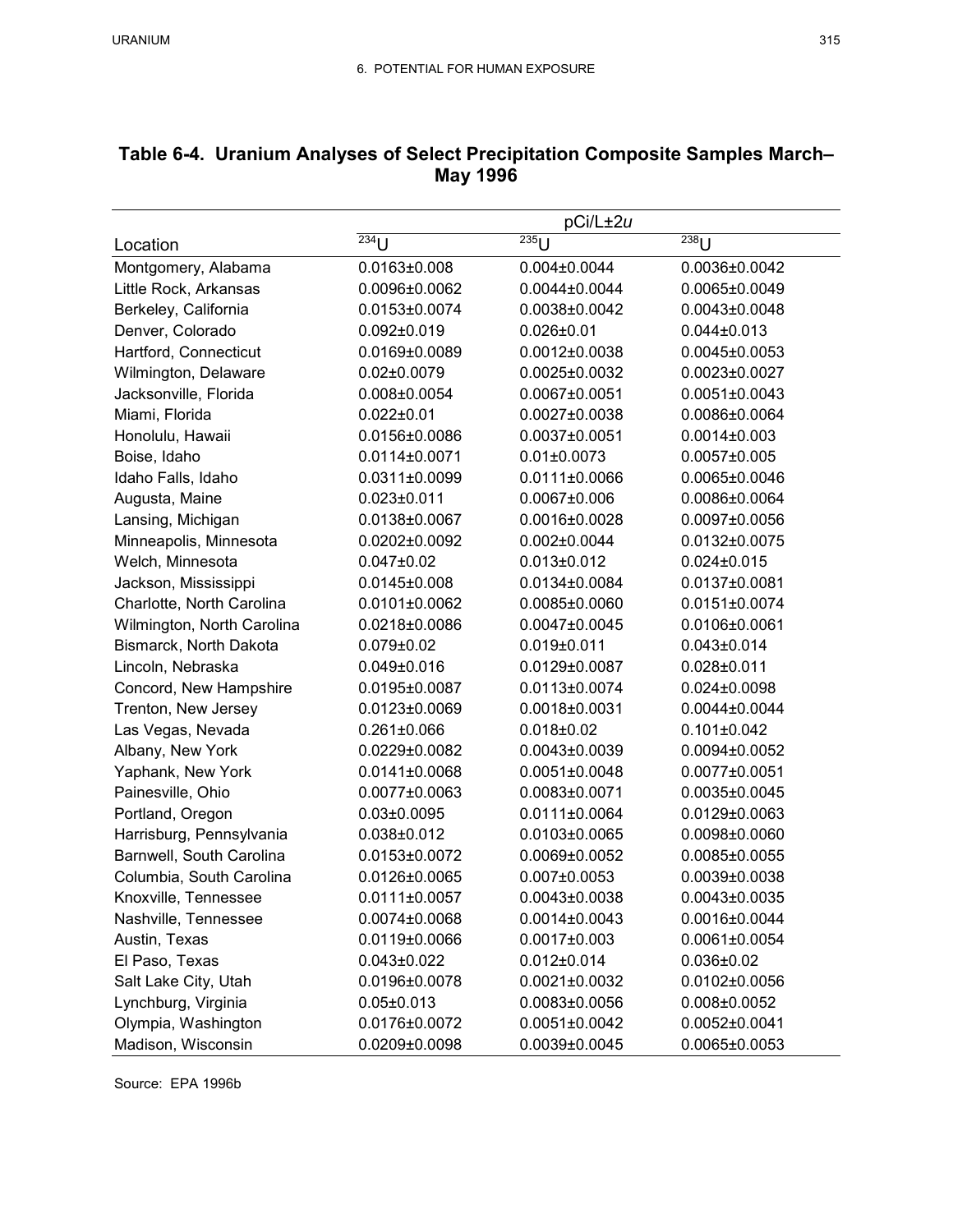|                            | pCi/L±2u              |                       |                       |  |  |  |  |  |  |
|----------------------------|-----------------------|-----------------------|-----------------------|--|--|--|--|--|--|
| Location                   | $\overline{^{234}}$ U | $\overline{^{235}}$ U | $\overline{^{238}}$ U |  |  |  |  |  |  |
| Montgomery, Alabama        | $0.0163 \pm 0.008$    | $0.004 \pm 0.0044$    | 0.0036±0.0042         |  |  |  |  |  |  |
| Little Rock, Arkansas      | 0.0096±0.0062         | $0.0044\pm0.0044$     | $0.0065 \pm 0.0049$   |  |  |  |  |  |  |
| Berkeley, California       | $0.0153 \pm 0.0074$   | $0.0038 \pm 0.0042$   | $0.0043\pm0.0048$     |  |  |  |  |  |  |
| Denver, Colorado           | $0.092 \pm 0.019$     | $0.026 \pm 0.01$      | $0.044 \pm 0.013$     |  |  |  |  |  |  |
| Hartford, Connecticut      | $0.0169 \pm 0.0089$   | $0.0012\pm0.0038$     | $0.0045 \pm 0.0053$   |  |  |  |  |  |  |
| Wilmington, Delaware       | $0.02 \pm 0.0079$     | $0.0025 \pm 0.0032$   | $0.0023 \pm 0.0027$   |  |  |  |  |  |  |
| Jacksonville, Florida      | $0.008 \pm 0.0054$    | 0.0067±0.0051         | $0.0051 \pm 0.0043$   |  |  |  |  |  |  |
| Miami, Florida             | $0.022 \pm 0.01$      | $0.0027 \pm 0.0038$   | 0.0086±0.0064         |  |  |  |  |  |  |
| Honolulu, Hawaii           | 0.0156±0.0086         | $0.0037 \pm 0.0051$   | $0.0014 \pm 0.003$    |  |  |  |  |  |  |
| Boise, Idaho               | 0.0114±0.0071         | $0.01 \pm 0.0073$     | $0.0057 \pm 0.005$    |  |  |  |  |  |  |
| Idaho Falls, Idaho         | $0.0311 \pm 0.0099$   | $0.0111 \pm 0.0066$   | $0.0065 \pm 0.0046$   |  |  |  |  |  |  |
| Augusta, Maine             | $0.023 \pm 0.011$     | $0.0067 \pm 0.006$    | 0.0086±0.0064         |  |  |  |  |  |  |
| Lansing, Michigan          | 0.0138±0.0067         | 0.0016±0.0028         | $0.0097 \pm 0.0056$   |  |  |  |  |  |  |
| Minneapolis, Minnesota     | $0.0202 \pm 0.0092$   | $0.002 \pm 0.0044$    | 0.0132±0.0075         |  |  |  |  |  |  |
| Welch, Minnesota           | $0.047 \pm 0.02$      | $0.013 \pm 0.012$     | $0.024 \pm 0.015$     |  |  |  |  |  |  |
| Jackson, Mississippi       | $0.0145 \pm 0.008$    | 0.0134±0.0084         | $0.0137 \pm 0.0081$   |  |  |  |  |  |  |
| Charlotte, North Carolina  | $0.0101 \pm 0.0062$   | $0.0085 \pm 0.0060$   | $0.0151 \pm 0.0074$   |  |  |  |  |  |  |
| Wilmington, North Carolina | 0.0218±0.0086         | $0.0047 \pm 0.0045$   | 0.0106±0.0061         |  |  |  |  |  |  |
| Bismarck, North Dakota     | $0.079 \pm 0.02$      | 0.019±0.011           | $0.043 \pm 0.014$     |  |  |  |  |  |  |
| Lincoln, Nebraska          | $0.049 \pm 0.016$     | $0.0129 \pm 0.0087$   | $0.028 + 0.011$       |  |  |  |  |  |  |
| Concord, New Hampshire     | $0.0195 \pm 0.0087$   | $0.0113 \pm 0.0074$   | $0.024 \pm 0.0098$    |  |  |  |  |  |  |
| Trenton, New Jersey        | $0.0123 \pm 0.0069$   | 0.0018±0.0031         | $0.0044\pm0.0044$     |  |  |  |  |  |  |
| Las Vegas, Nevada          | $0.261 \pm 0.066$     | $0.018 + 0.02$        | $0.101 \pm 0.042$     |  |  |  |  |  |  |
| Albany, New York           | $0.0229 \pm 0.0082$   | $0.0043\pm0.0039$     | $0.0094\pm0.0052$     |  |  |  |  |  |  |
| Yaphank, New York          | $0.0141 \pm 0.0068$   | $0.0051 \pm 0.0048$   | $0.0077 \pm 0.0051$   |  |  |  |  |  |  |
| Painesville, Ohio          | $0.0077 \pm 0.0063$   | $0.0083\pm0.0071$     | $0.0035 \pm 0.0045$   |  |  |  |  |  |  |
| Portland, Oregon           | $0.03 \pm 0.0095$     | $0.0111\pm0.0064$     | $0.0129 \pm 0.0063$   |  |  |  |  |  |  |
| Harrisburg, Pennsylvania   | $0.038 + 0.012$       | $0.0103 \pm 0.0065$   | 0.0098±0.0060         |  |  |  |  |  |  |
| Barnwell, South Carolina   | $0.0153 \pm 0.0072$   | $0.0069 \pm 0.0052$   | $0.0085 \pm 0.0055$   |  |  |  |  |  |  |
| Columbia, South Carolina   | 0.0126±0.0065         | $0.007 \pm 0.0053$    | $0.0039 \pm 0.0038$   |  |  |  |  |  |  |
| Knoxville, Tennessee       | 0.0111±0.0057         | $0.0043\pm0.0038$     | $0.0043\pm0.0035$     |  |  |  |  |  |  |
| Nashville, Tennessee       | $0.0074 \pm 0.0068$   | $0.0014\pm0.0043$     | 0.0016±0.0044         |  |  |  |  |  |  |
| Austin, Texas              | 0.0119±0.0066         | $0.0017 \pm 0.003$    | $0.0061 \pm 0.0054$   |  |  |  |  |  |  |
| El Paso, Texas             | $0.043 \pm 0.022$     | $0.012 \pm 0.014$     | $0.036 \pm 0.02$      |  |  |  |  |  |  |
| Salt Lake City, Utah       | 0.0196±0.0078         | $0.0021 \pm 0.0032$   | $0.0102\pm0.0056$     |  |  |  |  |  |  |
| Lynchburg, Virginia        | $0.05 \pm 0.013$      | $0.0083\pm0.0056$     | $0.008 \pm 0.0052$    |  |  |  |  |  |  |
| Olympia, Washington        | 0.0176±0.0072         | $0.0051 \pm 0.0042$   | $0.0052\pm0.0041$     |  |  |  |  |  |  |
| Madison, Wisconsin         | $0.0209 \pm 0.0098$   | $0.0039 \pm 0.0045$   | $0.0065 \pm 0.0053$   |  |  |  |  |  |  |

# **Table 6-4. Uranium Analyses of Select Precipitation Composite Samples March– May 1996**

Source: EPA 1996b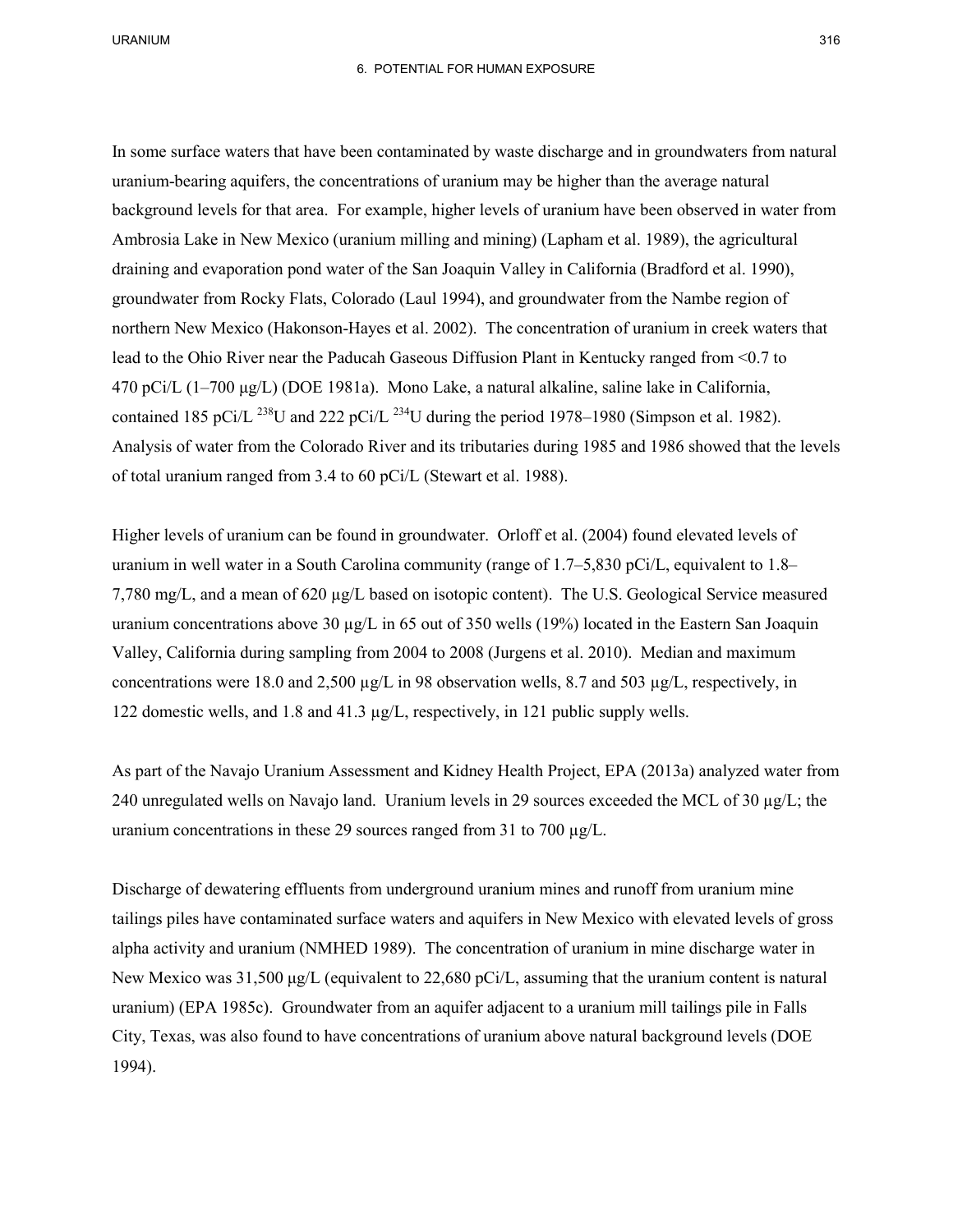In some surface waters that have been contaminated by waste discharge and in groundwaters from natural background levels for that area. For example, higher levels of uranium have been observed in water from draining and evaporation pond water of the San Joaquin Valley in California (Bradford et al. 1990), northern New Mexico (Hakonson-Hayes et al. 2002). The concentration of uranium in creek waters that lead to the Ohio River near the Paducah Gaseous Diffusion Plant in Kentucky ranged from <0.7 to Analysis of water from the Colorado River and its tributaries during 1985 and 1986 showed that the levels of total uranium ranged from 3.4 to 60 pCi/L (Stewart et al. 1988). uranium-bearing aquifers, the concentrations of uranium may be higher than the average natural Ambrosia Lake in New Mexico (uranium milling and mining) (Lapham et al. 1989), the agricultural groundwater from Rocky Flats, Colorado (Laul 1994), and groundwater from the Nambe region of 470 pCi/L (1–700 μg/L) (DOE 1981a). Mono Lake, a natural alkaline, saline lake in California, contained 185 pCi/L <sup>238</sup>U and 222 pCi/L <sup>234</sup>U during the period 1978–1980 (Simpson et al. 1982).

 uranium in well water in a South Carolina community (range of 1.7–5,830 pCi/L, equivalent to 1.8– 7,780 mg/L, and a mean of 620 µg/L based on isotopic content). The U.S. Geological Service measured Higher levels of uranium can be found in groundwater. Orloff et al. (2004) found elevated levels of uranium concentrations above 30 µg/L in 65 out of 350 wells (19%) located in the Eastern San Joaquin Valley, California during sampling from 2004 to 2008 (Jurgens et al. 2010). Median and maximum concentrations were 18.0 and 2,500 µg/L in 98 observation wells, 8.7 and 503 µg/L, respectively, in 122 domestic wells, and 1.8 and 41.3 µg/L, respectively, in 121 public supply wells.

 As part of the Navajo Uranium Assessment and Kidney Health Project, EPA (2013a) analyzed water from 240 unregulated wells on Navajo land. Uranium levels in 29 sources exceeded the MCL of 30 µg/L; the uranium concentrations in these 29 sources ranged from 31 to 700 µg/L.

 Discharge of dewatering effluents from underground uranium mines and runoff from uranium mine tailings piles have contaminated surface waters and aquifers in New Mexico with elevated levels of gross uranium) (EPA 1985c). Groundwater from an aquifer adjacent to a uranium mill tailings pile in Falls City, Texas, was also found to have concentrations of uranium above natural background levels (DOE alpha activity and uranium (NMHED 1989). The concentration of uranium in mine discharge water in New Mexico was 31,500 μg/L (equivalent to 22,680 pCi/L, assuming that the uranium content is natural 1994).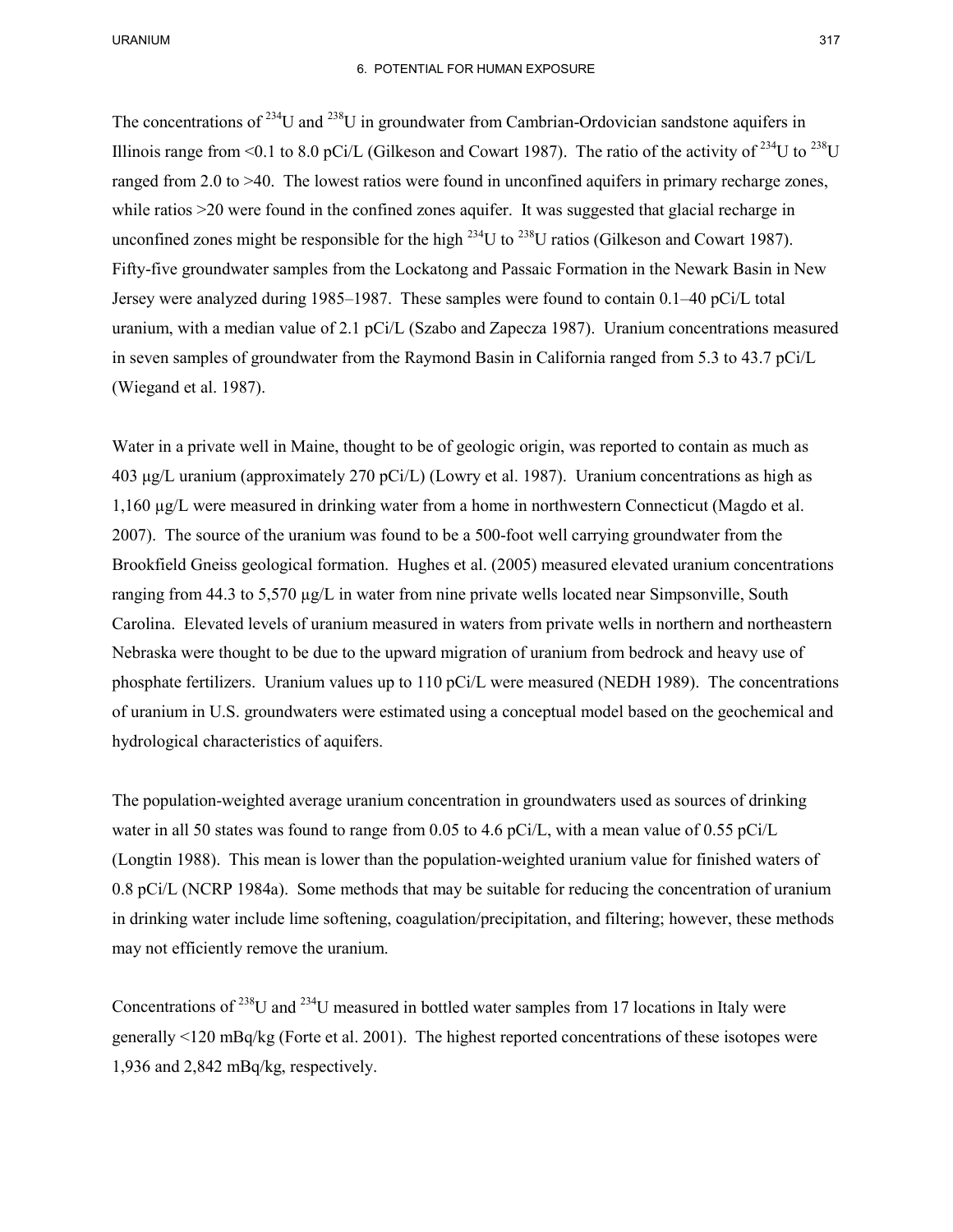### 6. POTENTIAL FOR HUMAN EXPOSURE

Illinois range from <0.1 to 8.0 pCi/L (Gilkeson and Cowart 1987). The ratio of the activity of <sup>234</sup>U to <sup>238</sup>U while ratios >20 were found in the confined zones aquifer. It was suggested that glacial recharge in Fifty-five groundwater samples from the Lockatong and Passaic Formation in the Newark Basin in New Jersey were analyzed during 1985–1987. These samples were found to contain 0.1–40 pCi/L total The concentrations of  $^{234}$ U and  $^{238}$ U in groundwater from Cambrian-Ordovician sandstone aquifers in ranged from 2.0 to >40. The lowest ratios were found in unconfined aquifers in primary recharge zones, unconfined zones might be responsible for the high  $^{234}$ U to  $^{238}$ U ratios (Gilkeson and Cowart 1987). uranium, with a median value of 2.1 pCi/L (Szabo and Zapecza 1987). Uranium concentrations measured in seven samples of groundwater from the Raymond Basin in California ranged from 5.3 to 43.7 pCi/L (Wiegand et al. 1987).

 Water in a private well in Maine, thought to be of geologic origin, was reported to contain as much as 1,160 µg/L were measured in drinking water from a home in northwestern Connecticut (Magdo et al. ranging from 44.3 to 5,570 µg/L in water from nine private wells located near Simpsonville, South hydrological characteristics of aquifers. 403 μg/L uranium (approximately 270 pCi/L) (Lowry et al. 1987). Uranium concentrations as high as 2007). The source of the uranium was found to be a 500-foot well carrying groundwater from the Brookfield Gneiss geological formation. Hughes et al. (2005) measured elevated uranium concentrations Carolina. Elevated levels of uranium measured in waters from private wells in northern and northeastern Nebraska were thought to be due to the upward migration of uranium from bedrock and heavy use of phosphate fertilizers. Uranium values up to 110 pCi/L were measured (NEDH 1989). The concentrations of uranium in U.S. groundwaters were estimated using a conceptual model based on the geochemical and

water in all 50 states was found to range from 0.05 to 4.6 pCi/L, with a mean value of 0.55 pCi/L (Longtin 1988). This mean is lower than the population-weighted uranium value for finished waters of 0.8 pCi/L (NCRP 1984a). Some methods that may be suitable for reducing the concentration of uranium The population-weighted average uranium concentration in groundwaters used as sources of drinking in drinking water include lime softening, coagulation/precipitation, and filtering; however, these methods may not efficiently remove the uranium.

Concentrations of  $^{238}$ U and  $^{234}$ U measured in bottled water samples from 17 locations in Italy were generally <120 mBq/kg (Forte et al. 2001). The highest reported concentrations of these isotopes were 1,936 and 2,842 mBq/kg, respectively.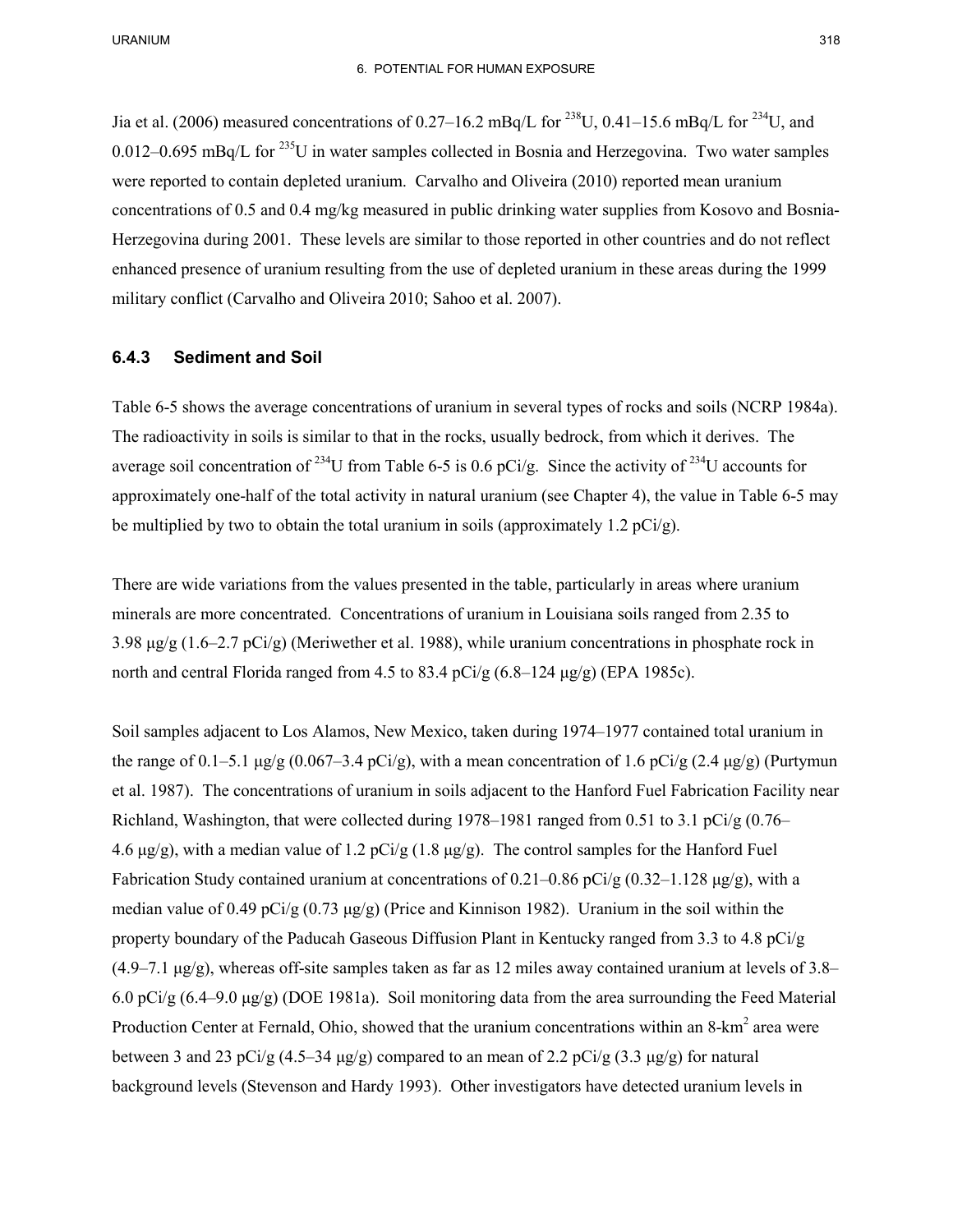0.012–0.695 mBq/L for  $^{235}$ U in water samples collected in Bosnia and Herzegovina. Two water samples Herzegovina during 2001. These levels are similar to those reported in other countries and do not reflect Jia et al. (2006) measured concentrations of 0.27–16.2 mBq/L for <sup>238</sup>U, 0.41–15.6 mBq/L for <sup>234</sup>U, and were reported to contain depleted uranium. Carvalho and Oliveira (2010) reported mean uranium concentrations of 0.5 and 0.4 mg/kg measured in public drinking water supplies from Kosovo and Bosniaenhanced presence of uranium resulting from the use of depleted uranium in these areas during the 1999 military conflict (Carvalho and Oliveira 2010; Sahoo et al. 2007).

#### **6.4.3 Sediment and Soil**

 Table 6-5 shows the average concentrations of uranium in several types of rocks and soils (NCRP 1984a). The radioactivity in soils is similar to that in the rocks, usually bedrock, from which it derives. The average soil concentration of <sup>234</sup>U from Table 6-5 is 0.6 pCi/g. Since the activity of <sup>234</sup>U accounts for approximately one-half of the total activity in natural uranium (see Chapter 4), the value in Table 6-5 may be multiplied by two to obtain the total uranium in soils (approximately 1.2  $pCi/g$ ).

 There are wide variations from the values presented in the table, particularly in areas where uranium 3.98 μg/g (1.6–2.7 pCi/g) (Meriwether et al. 1988), while uranium concentrations in phosphate rock in minerals are more concentrated. Concentrations of uranium in Louisiana soils ranged from 2.35 to north and central Florida ranged from 4.5 to 83.4  $pCi/g$  (6.8–124  $\mu$ g/g) (EPA 1985c).

 Soil samples adjacent to Los Alamos, New Mexico, taken during 1974–1977 contained total uranium in  $(4.9-7.1 \text{ µg/g})$ , whereas off-site samples taken as far as 12 miles away contained uranium at levels of 3.8– 6.0 pCi/g (6.4–9.0 μg/g) (DOE 1981a). Soil monitoring data from the area surrounding the Feed Material the range of 0.1–5.1 μg/g (0.067–3.4 pCi/g), with a mean concentration of 1.6 pCi/g (2.4 μg/g) (Purtymun et al. 1987). The concentrations of uranium in soils adjacent to the Hanford Fuel Fabrication Facility near Richland, Washington, that were collected during  $1978-1981$  ranged from 0.51 to 3.1 pCi/g (0.76– 4.6 μg/g), with a median value of 1.2 pCi/g (1.8 μg/g). The control samples for the Hanford Fuel Fabrication Study contained uranium at concentrations of 0.21–0.86 pCi/g (0.32–1.128  $\mu$ g/g), with a median value of 0.49 pCi/g (0.73  $\mu$ g/g) (Price and Kinnison 1982). Uranium in the soil within the property boundary of the Paducah Gaseous Diffusion Plant in Kentucky ranged from 3.3 to 4.8 pCi/g Production Center at Fernald, Ohio, showed that the uranium concentrations within an 8-km<sup>2</sup> area were between 3 and 23 pCi/g  $(4.5-34 \mu g/g)$  compared to an mean of 2.2 pCi/g  $(3.3 \mu g/g)$  for natural background levels (Stevenson and Hardy 1993). Other investigators have detected uranium levels in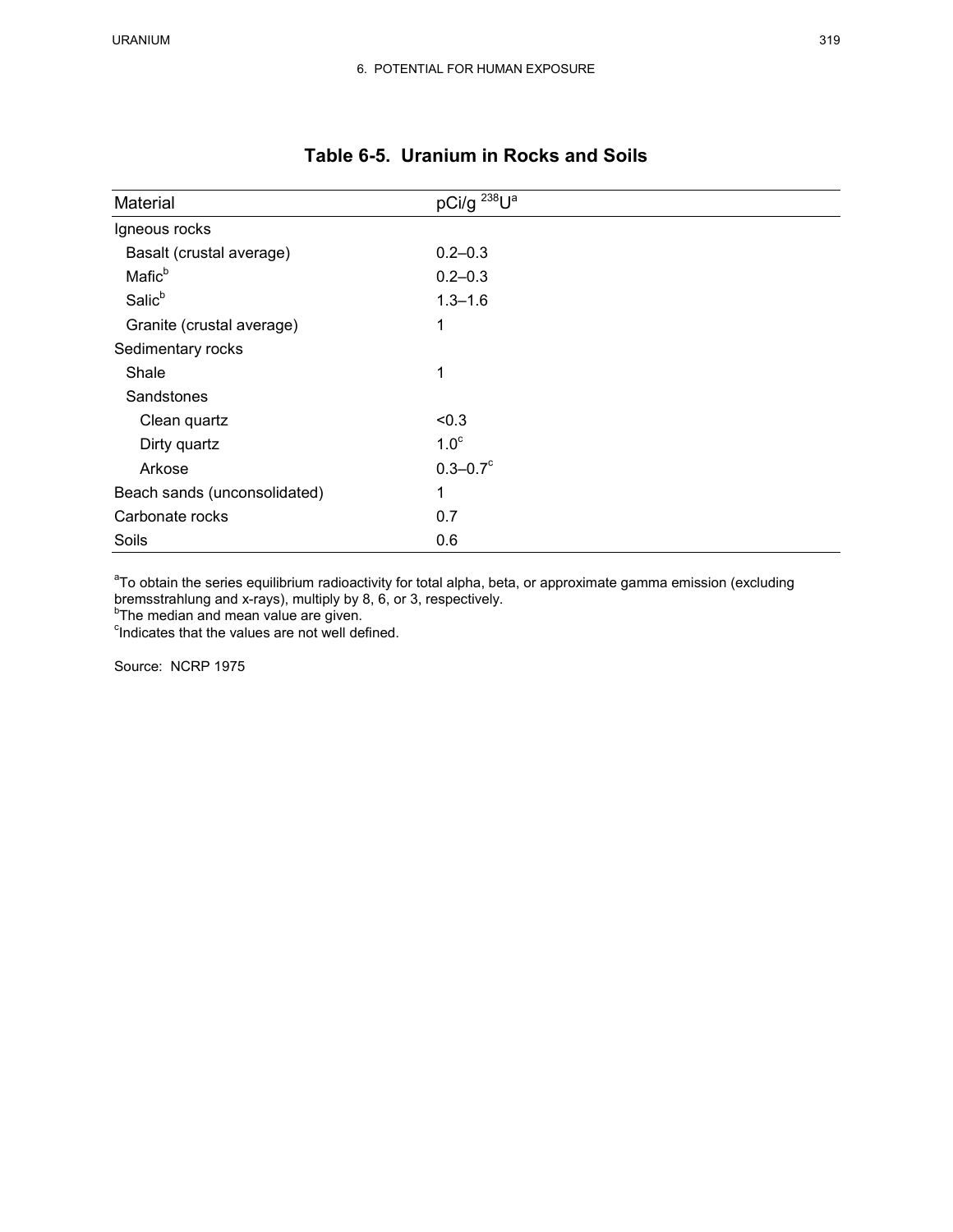| Material                     | pCi/g <sup>238</sup> U <sup>a</sup> |
|------------------------------|-------------------------------------|
| Igneous rocks                |                                     |
| Basalt (crustal average)     | $0.2 - 0.3$                         |
| Mafic <sup>b</sup>           | $0.2 - 0.3$                         |
| Salic <sup>b</sup>           | $1.3 - 1.6$                         |
| Granite (crustal average)    | 1                                   |
| Sedimentary rocks            |                                     |
| Shale                        | 1                                   |
| Sandstones                   |                                     |
| Clean quartz                 | < 0.3                               |
| Dirty quartz                 | 1.0 <sup>c</sup>                    |
| Arkose                       | $0.3 - 0.7$ °                       |
| Beach sands (unconsolidated) | 1                                   |
| Carbonate rocks              | 0.7                                 |
| Soils                        | 0.6                                 |

# **Table 6-5. Uranium in Rocks and Soils**

<sup>a</sup>To obtain the series equilibrium radioactivity for total alpha, beta, or approximate gamma emission (excluding bremsstrahlung and x-rays), multiply by 8, 6, or 3, respectively.<br><sup>b</sup>The median and mean value are given.<br><sup>c</sup>Indicates that the values are not well defined.

Source: NCRP 1975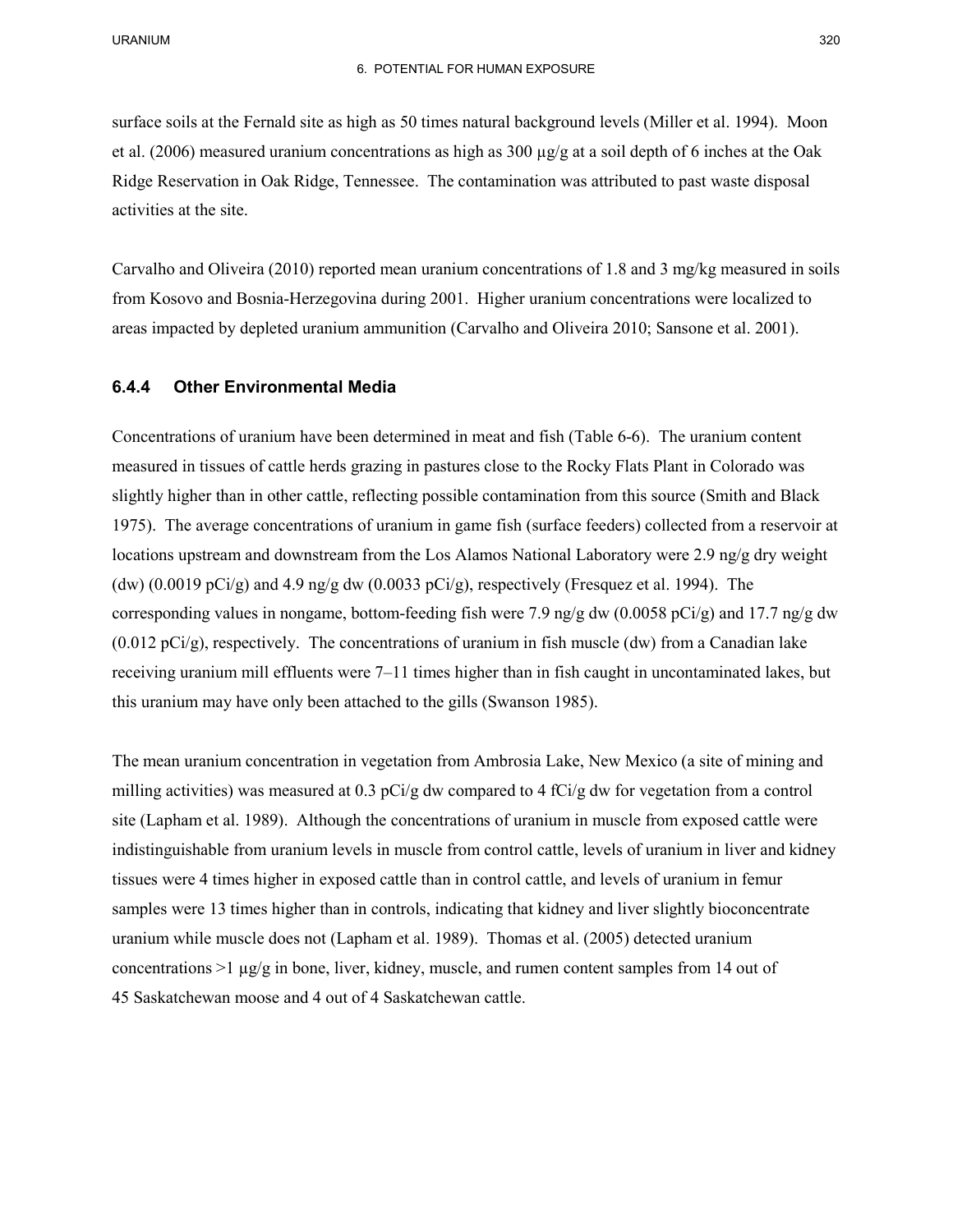surface soils at the Fernald site as high as 50 times natural background levels (Miller et al. 1994). Moon et al. (2006) measured uranium concentrations as high as 300 µg/g at a soil depth of 6 inches at the Oak Ridge Reservation in Oak Ridge, Tennessee. The contamination was attributed to past waste disposal activities at the site.

 areas impacted by depleted uranium ammunition (Carvalho and Oliveira 2010; Sansone et al. 2001). Carvalho and Oliveira (2010) reported mean uranium concentrations of 1.8 and 3 mg/kg measured in soils from Kosovo and Bosnia-Herzegovina during 2001. Higher uranium concentrations were localized to

#### **6.4.4 Other Environmental Media**

 Concentrations of uranium have been determined in meat and fish (Table 6-6). The uranium content measured in tissues of cattle herds grazing in pastures close to the Rocky Flats Plant in Colorado was 1975). The average concentrations of uranium in game fish (surface feeders) collected from a reservoir at corresponding values in nongame, bottom-feeding fish were 7.9 ng/g dw (0.0058 pCi/g) and 17.7 ng/g dw (0.012 pCi/g), respectively. The concentrations of uranium in fish muscle (dw) from a Canadian lake receiving uranium mill effluents were 7–11 times higher than in fish caught in uncontaminated lakes, but slightly higher than in other cattle, reflecting possible contamination from this source (Smith and Black locations upstream and downstream from the Los Alamos National Laboratory were 2.9 ng/g dry weight (dw)  $(0.0019 \text{ pCi/g})$  and 4.9 ng/g dw  $(0.0033 \text{ pCi/g})$ , respectively (Fresquez et al. 1994). The this uranium may have only been attached to the gills (Swanson 1985).

 milling activities) was measured at 0.3 pCi/g dw compared to 4 fCi/g dw for vegetation from a control 45 Saskatchewan moose and 4 out of 4 Saskatchewan cattle. The mean uranium concentration in vegetation from Ambrosia Lake, New Mexico (a site of mining and site (Lapham et al. 1989). Although the concentrations of uranium in muscle from exposed cattle were indistinguishable from uranium levels in muscle from control cattle, levels of uranium in liver and kidney tissues were 4 times higher in exposed cattle than in control cattle, and levels of uranium in femur samples were 13 times higher than in controls, indicating that kidney and liver slightly bioconcentrate uranium while muscle does not (Lapham et al. 1989). Thomas et al. (2005) detected uranium concentrations  $>1 \mu g/g$  in bone, liver, kidney, muscle, and rumen content samples from 14 out of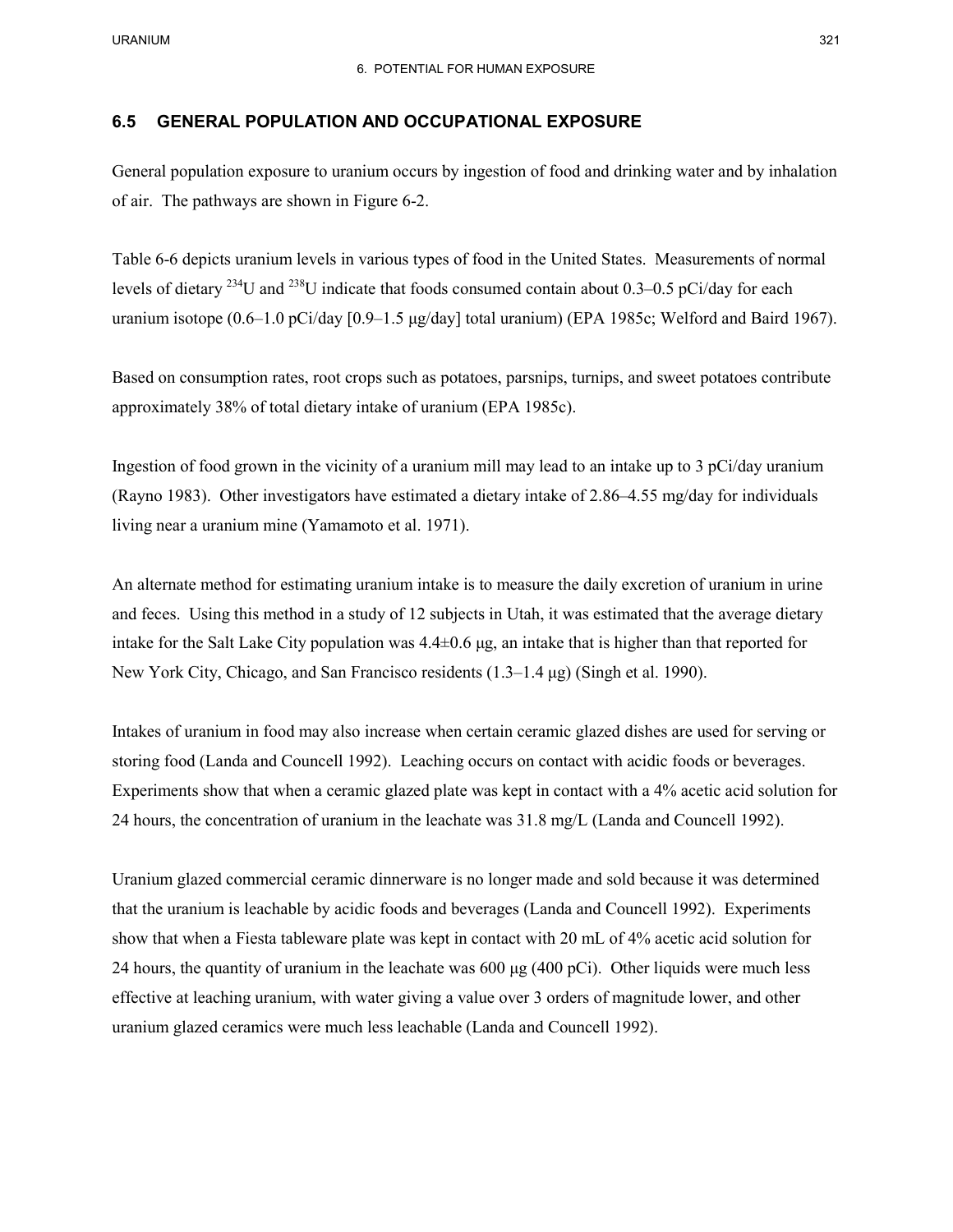## **6.5 GENERAL POPULATION AND OCCUPATIONAL EXPOSURE**

General population exposure to uranium occurs by ingestion of food and drinking water and by inhalation of air. The pathways are shown in Figure 6-2.

 Table 6-6 depicts uranium levels in various types of food in the United States. Measurements of normal levels of dietary <sup>234</sup>U and <sup>238</sup>U indicate that foods consumed contain about 0.3–0.5 pCi/day for each uranium isotope (0.6–1.0 pCi/day [0.9–1.5 μg/day] total uranium) (EPA 1985c; Welford and Baird 1967).

 Based on consumption rates, root crops such as potatoes, parsnips, turnips, and sweet potatoes contribute approximately 38% of total dietary intake of uranium (EPA 1985c).

 (Rayno 1983). Other investigators have estimated a dietary intake of 2.86–4.55 mg/day for individuals living near a uranium mine (Yamamoto et al. 1971). Ingestion of food grown in the vicinity of a uranium mill may lead to an intake up to 3 pCi/day uranium

 and feces. Using this method in a study of 12 subjects in Utah, it was estimated that the average dietary intake for the Salt Lake City population was 4.4±0.6 μg, an intake that is higher than that reported for An alternate method for estimating uranium intake is to measure the daily excretion of uranium in urine New York City, Chicago, and San Francisco residents  $(1.3-1.4 \,\mu g)$  (Singh et al. 1990).

 Intakes of uranium in food may also increase when certain ceramic glazed dishes are used for serving or Experiments show that when a ceramic glazed plate was kept in contact with a 4% acetic acid solution for 24 hours, the concentration of uranium in the leachate was 31.8 mg/L (Landa and Councell 1992). storing food (Landa and Councell 1992). Leaching occurs on contact with acidic foods or beverages.

 Uranium glazed commercial ceramic dinnerware is no longer made and sold because it was determined that the uranium is leachable by acidic foods and beverages (Landa and Councell 1992). Experiments show that when a Fiesta tableware plate was kept in contact with 20 mL of 4% acetic acid solution for 24 hours, the quantity of uranium in the leachate was 600 μg (400 pCi). Other liquids were much less effective at leaching uranium, with water giving a value over 3 orders of magnitude lower, and other uranium glazed ceramics were much less leachable (Landa and Councell 1992).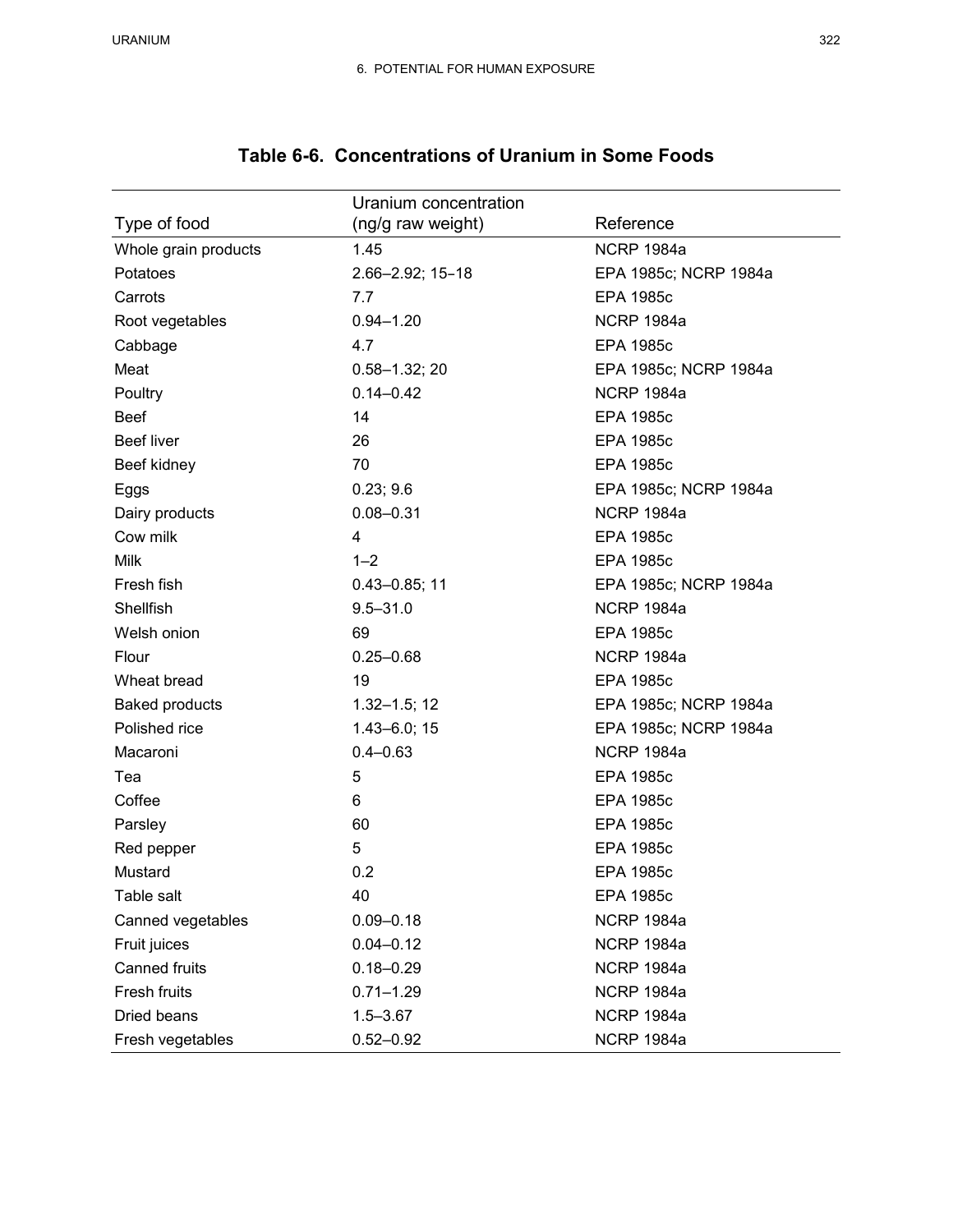|                       | Uranium concentration |                       |
|-----------------------|-----------------------|-----------------------|
| Type of food          | (ng/g raw weight)     | Reference             |
| Whole grain products  | 1.45                  | <b>NCRP 1984a</b>     |
| Potatoes              | 2.66-2.92; 15-18      | EPA 1985c; NCRP 1984a |
| Carrots               | 7.7                   | <b>EPA 1985c</b>      |
| Root vegetables       | $0.94 - 1.20$         | <b>NCRP 1984a</b>     |
| Cabbage               | 4.7                   | <b>EPA 1985c</b>      |
| Meat                  | $0.58 - 1.32; 20$     | EPA 1985c; NCRP 1984a |
| Poultry               | $0.14 - 0.42$         | <b>NCRP 1984a</b>     |
| <b>Beef</b>           | 14                    | <b>EPA 1985c</b>      |
| <b>Beef liver</b>     | 26                    | <b>EPA 1985c</b>      |
| Beef kidney           | 70                    | <b>EPA 1985c</b>      |
| Eggs                  | 0.23; 9.6             | EPA 1985c; NCRP 1984a |
| Dairy products        | $0.08 - 0.31$         | <b>NCRP 1984a</b>     |
| Cow milk              | 4                     | <b>EPA 1985c</b>      |
| Milk                  | $1 - 2$               | <b>EPA 1985c</b>      |
| Fresh fish            | $0.43 - 0.85$ ; 11    | EPA 1985c; NCRP 1984a |
| Shellfish             | $9.5 - 31.0$          | <b>NCRP 1984a</b>     |
| Welsh onion           | 69                    | <b>EPA 1985c</b>      |
| Flour                 | $0.25 - 0.68$         | <b>NCRP 1984a</b>     |
| Wheat bread           | 19                    | <b>EPA 1985c</b>      |
| <b>Baked products</b> | $1.32 - 1.5; 12$      | EPA 1985c; NCRP 1984a |
| Polished rice         | $1.43 - 6.0; 15$      | EPA 1985c; NCRP 1984a |
| Macaroni              | $0.4 - 0.63$          | <b>NCRP 1984a</b>     |
| Tea                   | 5                     | <b>EPA 1985c</b>      |
| Coffee                | 6                     | <b>EPA 1985c</b>      |
| Parsley               | 60                    | <b>EPA 1985c</b>      |
| Red pepper            | 5                     | <b>EPA 1985c</b>      |
| Mustard               | 0.2                   | <b>EPA 1985c</b>      |
| Table salt            | 40                    | <b>EPA 1985c</b>      |
| Canned vegetables     | $0.09 - 0.18$         | <b>NCRP 1984a</b>     |
| Fruit juices          | $0.04 - 0.12$         | <b>NCRP 1984a</b>     |
| <b>Canned fruits</b>  | $0.18 - 0.29$         | <b>NCRP 1984a</b>     |
| Fresh fruits          | $0.71 - 1.29$         | <b>NCRP 1984a</b>     |
| Dried beans           | $1.5 - 3.67$          | <b>NCRP 1984a</b>     |
| Fresh vegetables      | $0.52 - 0.92$         | <b>NCRP 1984a</b>     |

## **Table 6-6. Concentrations of Uranium in Some Foods**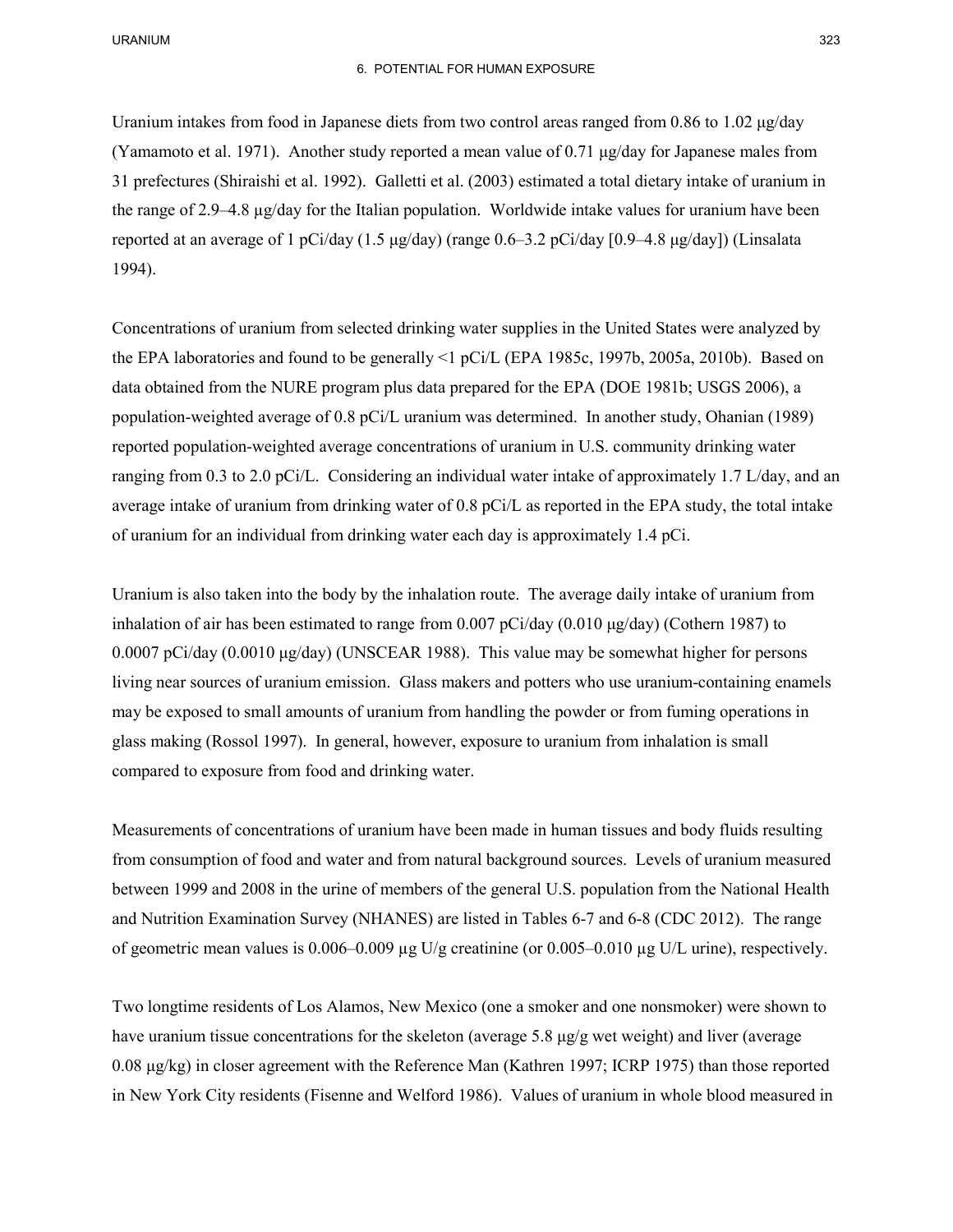### 6. POTENTIAL FOR HUMAN EXPOSURE

 Uranium intakes from food in Japanese diets from two control areas ranged from 0.86 to 1.02 μg/day (Yamamoto et al. 1971). Another study reported a mean value of 0.71 μg/day for Japanese males from 31 prefectures (Shiraishi et al. 1992). Galletti et al. (2003) estimated a total dietary intake of uranium in reported at an average of 1 pCi/day (1.5 μg/day) (range 0.6–3.2 pCi/day [0.9–4.8 μg/day]) (Linsalata the range of 2.9–4.8 µg/day for the Italian population. Worldwide intake values for uranium have been 1994).

 the EPA laboratories and found to be generally <1 pCi/L (EPA 1985c, 1997b, 2005a, 2010b). Based on average intake of uranium from drinking water of 0.8 pCi/L as reported in the EPA study, the total intake Concentrations of uranium from selected drinking water supplies in the United States were analyzed by data obtained from the NURE program plus data prepared for the EPA (DOE 1981b; USGS 2006), a population-weighted average of 0.8 pCi/L uranium was determined. In another study, Ohanian (1989) reported population-weighted average concentrations of uranium in U.S. community drinking water ranging from 0.3 to 2.0 pCi/L. Considering an individual water intake of approximately 1.7 L/day, and an of uranium for an individual from drinking water each day is approximately 1.4 pCi.

 inhalation of air has been estimated to range from 0.007 pCi/day (0.010 μg/day) (Cothern 1987) to living near sources of uranium emission. Glass makers and potters who use uranium-containing enamels glass making (Rossol 1997). In general, however, exposure to uranium from inhalation is small Uranium is also taken into the body by the inhalation route. The average daily intake of uranium from 0.0007 pCi/day (0.0010 μg/day) (UNSCEAR 1988). This value may be somewhat higher for persons may be exposed to small amounts of uranium from handling the powder or from fuming operations in compared to exposure from food and drinking water.

 Measurements of concentrations of uranium have been made in human tissues and body fluids resulting from consumption of food and water and from natural background sources. Levels of uranium measured and Nutrition Examination Survey (NHANES) are listed in Tables 6-7 and 6-8 (CDC 2012). The range between 1999 and 2008 in the urine of members of the general U.S. population from the National Health of geometric mean values is  $0.006-0.009 \mu g U/g$  creatinine (or  $0.005-0.010 \mu g U/L$  urine), respectively.

 Two longtime residents of Los Alamos, New Mexico (one a smoker and one nonsmoker) were shown to have uranium tissue concentrations for the skeleton (average 5.8 μg/g wet weight) and liver (average 0.08 μg/kg) in closer agreement with the Reference Man (Kathren 1997; ICRP 1975) than those reported in New York City residents (Fisenne and Welford 1986). Values of uranium in whole blood measured in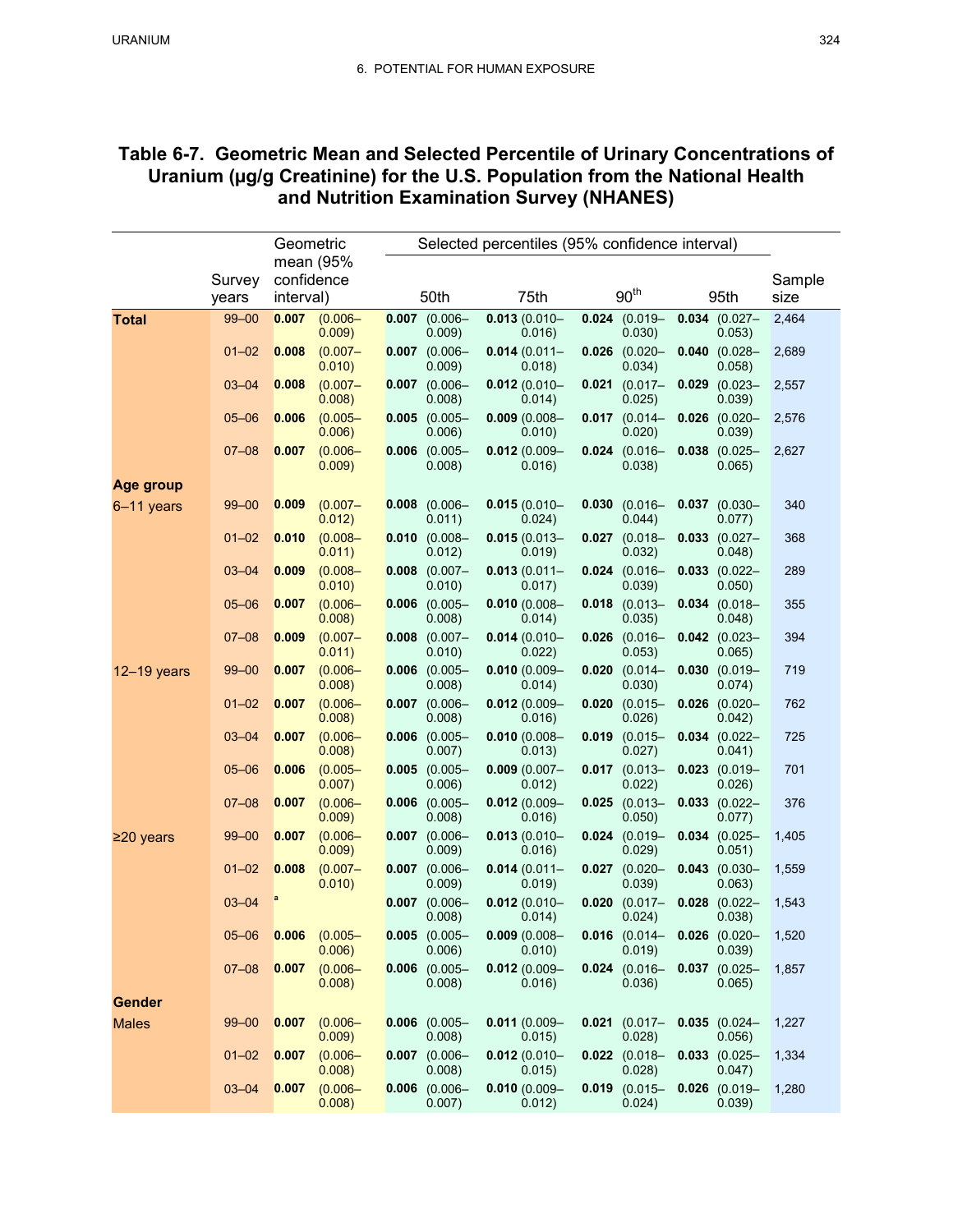# **Table 6-7. Geometric Mean and Selected Percentile of Urinary Concentrations of Uranium (µg/g Creatinine) for the U.S. Population from the National Health and Nutrition Examination Survey (NHANES)**

|                 |           | Geometric  | Selected percentiles (95% confidence interval) |       |                              |  |                           |       |                                           |       |                              |                |
|-----------------|-----------|------------|------------------------------------------------|-------|------------------------------|--|---------------------------|-------|-------------------------------------------|-------|------------------------------|----------------|
|                 | Survey    | confidence | mean (95%                                      |       |                              |  |                           |       |                                           |       |                              |                |
|                 | years     | interval)  |                                                |       | 50th                         |  | 75th                      |       | 90 <sup>th</sup>                          |       | 95th                         | Sample<br>size |
| <b>Total</b>    | $99 - 00$ | 0.007      | $(0.006 -$<br>0.009                            |       | $0.007$ (0.006-<br>0.009     |  | $0.013(0.010 -$<br>0.016  |       | $0.024$ (0.019-<br>0.030)                 |       | $0.034$ (0.027-<br>0.053)    | 2,464          |
|                 | $01 - 02$ | 0.008      | $(0.007 -$<br>0.010)                           |       | $0.007$ (0.006-<br>0.009)    |  | $0.014(0.011 -$<br>0.018) |       | $0.026$ (0.020-<br>0.034)                 |       | $0.040$ $(0.028 -$<br>0.058) | 2,689          |
|                 | $03 - 04$ | 0.008      | $(0.007 -$<br>0.008                            |       | $0.007$ (0.006-<br>0.008     |  | $0.012(0.010 -$<br>0.014) |       | $0.021$ (0.017-<br>0.025)                 |       | $0.029$ (0.023-<br>0.039     | 2,557          |
|                 | $05 - 06$ | 0.006      | $(0.005 -$<br>0.006                            | 0.005 | $(0.005 -$<br>0.006)         |  | $0.009(0.008 -$<br>0.010  |       | $0.017$ (0.014-<br>0.020)                 | 0.026 | $(0.020 -$<br>0.039)         | 2,576          |
|                 | $07 - 08$ | 0.007      | $(0.006 -$<br>0.009)                           |       | $0.006$ (0.005-<br>0.008     |  | $0.012(0.009 -$<br>0.016  |       | $0.024$ (0.016-<br>0.038)                 |       | $0.038$ (0.025-<br>0.065)    | 2,627          |
| Age group       |           |            |                                                |       |                              |  |                           |       |                                           |       |                              |                |
| $6-11$ years    | $99 - 00$ | 0.009      | $(0.007 -$<br>0.012)                           |       | $0.008$ $(0.006 -$<br>0.011) |  | $0.015(0.010 -$<br>0.024) |       | $0.030$ $(0.016 -$<br>0.044)              |       | $0.037$ (0.030-<br>0.077)    | 340            |
|                 | $01 - 02$ | 0.010      | $(0.008 -$<br>0.011)                           |       | $0.010$ $(0.008 -$<br>0.012  |  | $0.015(0.013 -$<br>0.019) |       | $0.027$ (0.018-<br>0.032)                 | 0.033 | $(0.027 -$<br>0.048)         | 368            |
|                 | $03 - 04$ | 0.009      | $(0.008 -$<br>0.010)                           |       | $0.008$ $(0.007 -$<br>0.010  |  | $0.013(0.011 -$<br>0.017  |       | $0.024$ (0.016-<br>0.039)                 |       | $0.033$ $(0.022 -$<br>0.050) | 289            |
|                 | $05 - 06$ | 0.007      | $(0.006 -$<br>0.008                            | 0.006 | $(0.005 -$<br>0.008)         |  | $0.010(0.008 -$<br>0.014) |       | $0.018$ (0.013-<br>0.035)                 |       | $0.034$ (0.018-<br>0.048     | 355            |
|                 | $07 - 08$ | 0.009      | $(0.007 -$<br>0.011)                           |       | $0.008$ (0.007-<br>0.010)    |  | $0.014(0.010 -$<br>0.022) |       | $0.026$ (0.016-<br>0.053)                 |       | $0.042$ (0.023-<br>0.065)    | 394            |
| $12 - 19$ years | $99 - 00$ | 0.007      | $(0.006 -$<br>0.008)                           |       | $0.006$ (0.005-<br>0.008     |  | $0.010(0.009 -$<br>0.014) | 0.020 | $(0.014 -$<br>0.030)                      | 0.030 | $(0.019 -$<br>0.074)         | 719            |
|                 | $01 - 02$ | 0.007      | $(0.006 -$<br>0.008                            |       | $0.007$ (0.006-<br>0.008     |  | $0.012(0.009 -$<br>0.016  |       | $0.020$ (0.015-<br>0.026                  |       | $0.026$ (0.020-<br>0.042)    | 762            |
|                 | $03 - 04$ | 0.007      | $(0.006 -$<br>0.008                            | 0.006 | $(0.005 -$<br>$0.007$ )      |  | $0.010(0.008 -$<br>0.013) | 0.019 | $(0.015 -$<br>0.027)                      |       | $0.034$ (0.022-<br>0.041)    | 725            |
|                 | $05 - 06$ | 0.006      | $(0.005 -$<br>0.007)                           |       | $0.005$ (0.005-<br>0.006)    |  | $0.009(0.007 -$<br>0.012) |       | $0.017$ (0.013-<br>0.022)                 | 0.023 | $(0.019 -$<br>0.026)         | 701            |
|                 | $07 - 08$ | 0.007      | $(0.006 -$<br>0.009)                           | 0.006 | $(0.005 -$<br>0.008          |  | $0.012(0.009 -$<br>0.016) |       | $0.025$ (0.013-<br>0.050)                 | 0.033 | $(0.022 -$<br>0.077)         | 376            |
| $≥20$ years     | $99 - 00$ | 0.007      | $(0.006 -$<br>0.009)                           |       | $0.007$ (0.006-<br>0.009     |  | $0.013(0.010 -$<br>0.016) |       | $0.024$ (0.019-<br>0.029)                 |       | $0.034$ (0.025-<br>0.051)    | 1,405          |
|                 | $01 - 02$ | 0.008      | $(0.007 -$<br>0.010)                           |       | $0.007$ (0.006-<br>0.009     |  | $0.014(0.011 -$<br>0.019) |       | $0.027$ (0.020-<br>0.039)                 |       | $0.043$ (0.030-<br>0.063)    | 1,559          |
|                 | $03 - 04$ |            |                                                | 0.007 | $(0.006 -$<br>0.008          |  | $0.012(0.010 -$<br>0.014) | 0.020 | $(0.017 -$<br>0.024)                      | 0.028 | $(0.022 -$<br>0.038)         | 1,543          |
|                 | $05 - 06$ | 0.006      | $(0.005 -$<br>0.006)                           |       | $0.005$ (0.005-<br>0.006)    |  | $0.009(0.008 -$<br>0.010) |       | $0.016$ (0.014 - 0.026 (0.020 -<br>0.019) |       | 0.039)                       | 1,520          |
|                 | $07 - 08$ | 0.007      | $(0.006 -$<br>0.008)                           |       | $0.006$ $(0.005 -$<br>0.008) |  | $0.012(0.009 -$<br>0.016) |       | $0.024$ (0.016-<br>0.036)                 |       | $0.037$ (0.025-<br>0.065)    | 1,857          |
| <b>Gender</b>   |           |            |                                                |       |                              |  |                           |       |                                           |       |                              |                |
| <b>Males</b>    | $99 - 00$ | 0.007      | $(0.006 -$<br>0.009)                           |       | $0.006$ (0.005-<br>0.008)    |  | $0.011(0.009 -$<br>0.015) |       | $0.021$ (0.017-<br>0.028)                 |       | $0.035$ (0.024-<br>0.056)    | 1,227          |
|                 | $01 - 02$ | 0.007      | $(0.006 -$<br>0.008)                           |       | $0.007$ (0.006-<br>0.008)    |  | $0.012(0.010 -$<br>0.015) |       | $0.022$ (0.018-<br>0.028)                 |       | $0.033$ (0.025-<br>0.047)    | 1,334          |
|                 | $03 - 04$ | 0.007      | $(0.006 -$<br>0.008)                           |       | $0.006$ $(0.006 -$<br>0.007) |  | $0.010(0.009 -$<br>0.012) |       | $0.019$ $(0.015 -$<br>0.024)              |       | $0.026$ (0.019-<br>0.039)    | 1,280          |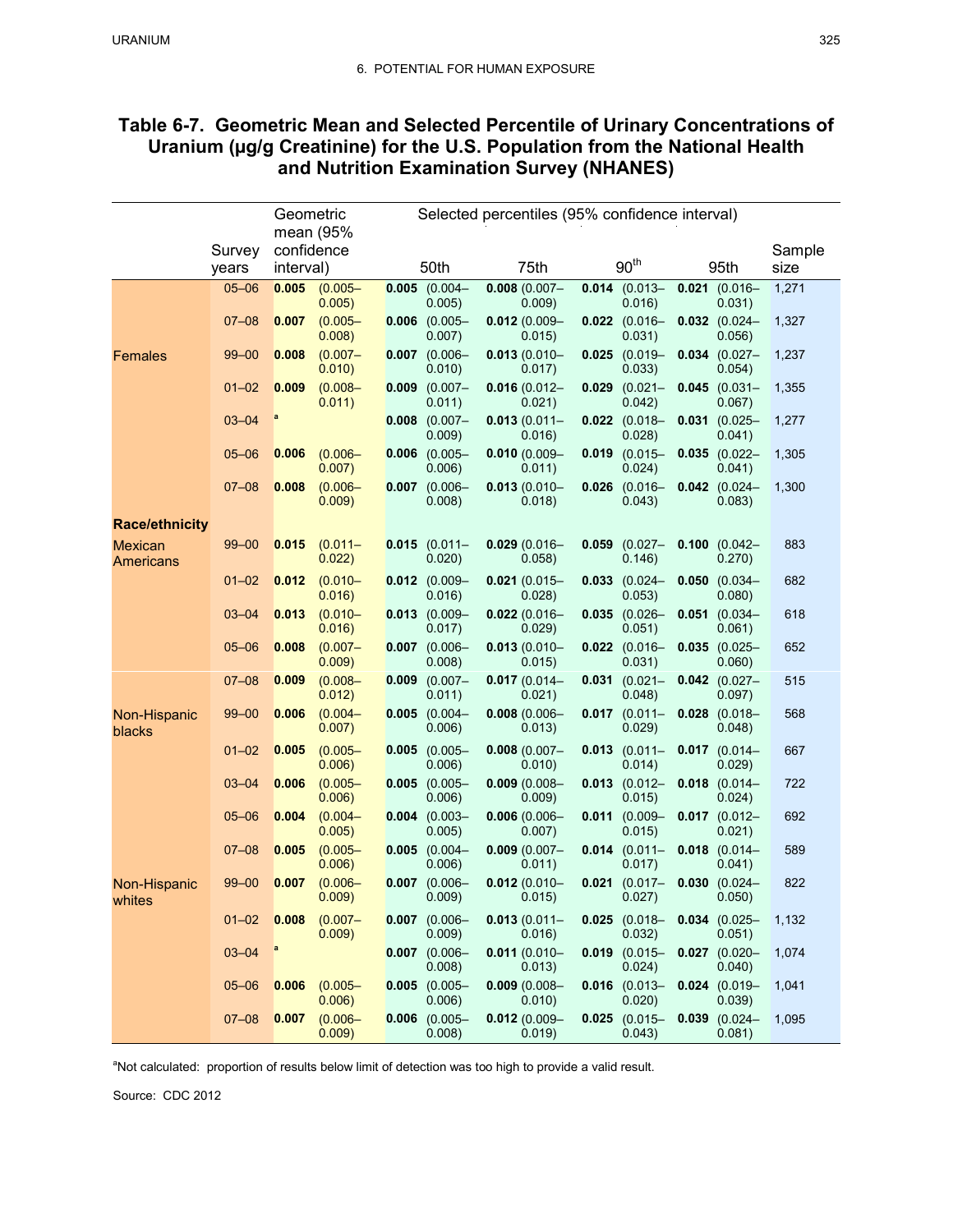| Table 6-7. Geometric Mean and Selected Percentile of Urinary Concentrations of |
|--------------------------------------------------------------------------------|
| Uranium (µg/g Creatinine) for the U.S. Population from the National Health     |
| and Nutrition Examination Survey (NHANES)                                      |

|                                    |                 | Geometric               |                      | Selected percentiles (95% confidence interval) |                              |                 |                           |       |                              |                 |                           |                |
|------------------------------------|-----------------|-------------------------|----------------------|------------------------------------------------|------------------------------|-----------------|---------------------------|-------|------------------------------|-----------------|---------------------------|----------------|
|                                    |                 |                         | mean (95%            |                                                |                              |                 |                           |       |                              |                 |                           |                |
|                                    | Survey<br>years | confidence<br>interval) |                      |                                                | 50th                         |                 | 75th                      |       | 90 <sup>th</sup>             |                 | 95th                      | Sample<br>size |
|                                    | $05 - 06$       | 0.005                   | $(0.005 -$           |                                                | $0.005$ (0.004-              | $0.008(0.007 -$ |                           |       | $0.014$ (0.013-              | $0.021$ (0.016- |                           | 1,271          |
|                                    |                 |                         | 0.005)               |                                                | 0.005)                       |                 | 0.009)                    |       | 0.016                        |                 | 0.031)                    |                |
|                                    | $07 - 08$       | 0.007                   | $(0.005 -$<br>0.008  |                                                | $0.006$ (0.005-<br>0.007)    |                 | $0.012(0.009 -$<br>0.015) | 0.022 | $(0.016 -$<br>0.031)         |                 | $0.032$ (0.024-<br>0.056) | 1,327          |
| <b>Females</b>                     | $99 - 00$       | 0.008                   | $(0.007 -$<br>0.010) |                                                | $0.007$ (0.006-<br>0.010)    |                 | $0.013(0.010 -$<br>0.017) |       | $0.025$ (0.019-<br>0.033     |                 | $0.034$ (0.027-<br>0.054) | 1,237          |
|                                    | $01 - 02$       | 0.009                   | $(0.008 -$<br>0.011) | 0.009                                          | $(0.007 -$<br>0.011)         |                 | $0.016(0.012 -$<br>0.021) | 0.029 | $(0.021 -$<br>0.042)         | 0.045           | $(0.031 -$<br>0.067)      | 1,355          |
|                                    | $03 - 04$       | a                       |                      |                                                | $0.008$ (0.007-<br>0.009)    |                 | $0.013(0.011 -$<br>0.016  |       | $0.022$ (0.018-<br>0.028     |                 | $0.031$ (0.025-<br>0.041) | 1,277          |
|                                    | $05 - 06$       | 0.006                   | $(0.006 -$<br>0.007) |                                                | $0.006$ (0.005-<br>0.006     |                 | $0.010(0.009 -$<br>0.011) |       | $0.019$ $(0.015 -$<br>0.024) |                 | $0.035$ (0.022-<br>0.041) | 1,305          |
|                                    | $07 - 08$       | 0.008                   | $(0.006 -$<br>0.009) |                                                | $0.007$ (0.006-<br>0.008)    |                 | $0.013(0.010 -$<br>0.018) | 0.026 | $(0.016 -$<br>0.043)         |                 | $0.042$ (0.024-<br>0.083) | 1,300          |
| <b>Race/ethnicity</b>              |                 |                         |                      |                                                |                              |                 |                           |       |                              |                 |                           |                |
| <b>Mexican</b><br><b>Americans</b> | $99 - 00$       | 0.015                   | $(0.011 -$<br>0.022) |                                                | $0.015$ (0.011-<br>0.020)    |                 | $0.029(0.016 -$<br>0.058  | 0.059 | $(0.027 -$<br>0.146)         |                 | $0.100$ (0.042-<br>0.270) | 883            |
|                                    | $01 - 02$       | 0.012                   | $(0.010 -$<br>0.016) |                                                | $0.012$ (0.009-<br>0.016)    |                 | $0.021(0.015 -$<br>0.028) | 0.033 | $(0.024 -$<br>0.053)         | 0.050           | $(0.034 -$<br>0.080)      | 682            |
|                                    | $03 - 04$       | 0.013                   | $(0.010 -$<br>0.016  |                                                | $0.013$ (0.009-<br>$0.017$ ) |                 | $0.022(0.016 -$<br>0.029) |       | $0.035$ (0.026-<br>0.051)    |                 | $0.051$ (0.034-<br>0.061) | 618            |
|                                    | $05 - 06$       | 0.008                   | $(0.007 -$<br>0.009) |                                                | $0.007$ (0.006-<br>0.008)    |                 | $0.013(0.010 -$<br>0.015) |       | $0.022$ (0.016-<br>0.031)    | 0.035           | $(0.025 -$<br>0.060)      | 652            |
|                                    | $07 - 08$       | 0.009                   | $(0.008 -$<br>0.012) |                                                | $0.009$ $(0.007 -$<br>0.011) |                 | $0.017(0.014 -$<br>0.021) |       | $0.031$ $(0.021 -$<br>0.048) |                 | $0.042$ (0.027-<br>0.097) | 515            |
| Non-Hispanic<br>blacks             | $99 - 00$       | 0.006                   | $(0.004 -$<br>0.007) | 0.005                                          | $(0.004 -$<br>0.006          |                 | $0.008(0.006 -$<br>0.013) |       | $0.017$ (0.011-<br>0.029     |                 | $0.028$ (0.018-<br>0.048) | 568            |
|                                    | $01 - 02$       | 0.005                   | $(0.005 -$<br>0.006  |                                                | $0.005$ (0.005-<br>0.006     |                 | $0.008(0.007 -$<br>0.010) | 0.013 | $(0.011 -$<br>0.014)         |                 | $0.017$ (0.014-<br>0.029  | 667            |
|                                    | $03 - 04$       | 0.006                   | $(0.005 -$<br>0.006) |                                                | $0.005$ (0.005-<br>0.006)    |                 | $0.009(0.008 -$<br>0.009) |       | $0.013$ $(0.012 -$<br>0.015) |                 | $0.018$ (0.014-<br>0.024) | 722            |
|                                    | $05 - 06$       | 0.004                   | $(0.004 -$<br>0.005) |                                                | $0.004$ (0.003-<br>0.005     |                 | $0.006(0.006 -$<br>0.007) | 0.011 | $(0.009 -$<br>0.015)         |                 | $0.017$ (0.012-<br>0.021) | 692            |
|                                    | $07 - 08$       | 0.005                   | $(0.005 -$<br>0.006) |                                                | $0.005$ (0.004-<br>0.006     |                 | $0.009(0.007 -$<br>0.011) |       | $0.014$ (0.011-<br>0.017)    |                 | $0.018$ (0.014-<br>0.041) | 589            |
| Non-Hispanic<br>whites             | $99 - 00$       | 0.007                   | $(0.006 -$<br>0.009) | 0.007                                          | $(0.006 -$<br>0.009          |                 | $0.012(0.010 -$<br>0.015) | 0.021 | $(0.017 -$<br>0.027)         | 0.030           | $(0.024 -$<br>0.050)      | 822            |
|                                    | $01 - 02$       | 0.008                   | $(0.007 -$<br>0.009) |                                                | $0.007$ (0.006-<br>0.009)    |                 | $0.013(0.011 -$<br>0.016) |       | $0.025$ (0.018-<br>0.032)    |                 | $0.034$ (0.025-<br>0.051) | 1,132          |
|                                    | $03 - 04$       | a                       |                      |                                                | $0.007$ $(0.006 -$<br>0.008) |                 | $0.011(0.010 -$<br>0.013) |       | $0.019$ $(0.015 -$<br>0.024) |                 | $0.027$ (0.020-<br>0.040) | 1,074          |
|                                    | $05 - 06$       | 0.006                   | $(0.005 -$<br>0.006) |                                                | $0.005$ (0.005-<br>0.006)    |                 | $0.009(0.008 -$<br>0.010) |       | $0.016$ (0.013-<br>0.020)    |                 | $0.024$ (0.019-<br>0.039) | 1,041          |
|                                    | $07 - 08$       | 0.007                   | $(0.006 -$<br>0.009) |                                                | $0.006$ (0.005-<br>0.008)    |                 | $0.012(0.009 -$<br>0.019  |       | $0.025$ (0.015-<br>0.043)    | 0.039           | $(0.024 -$<br>0.081)      | 1,095          |

<sup>a</sup>Not calculated: proportion of results below limit of detection was too high to provide a valid result.

Source: CDC 2012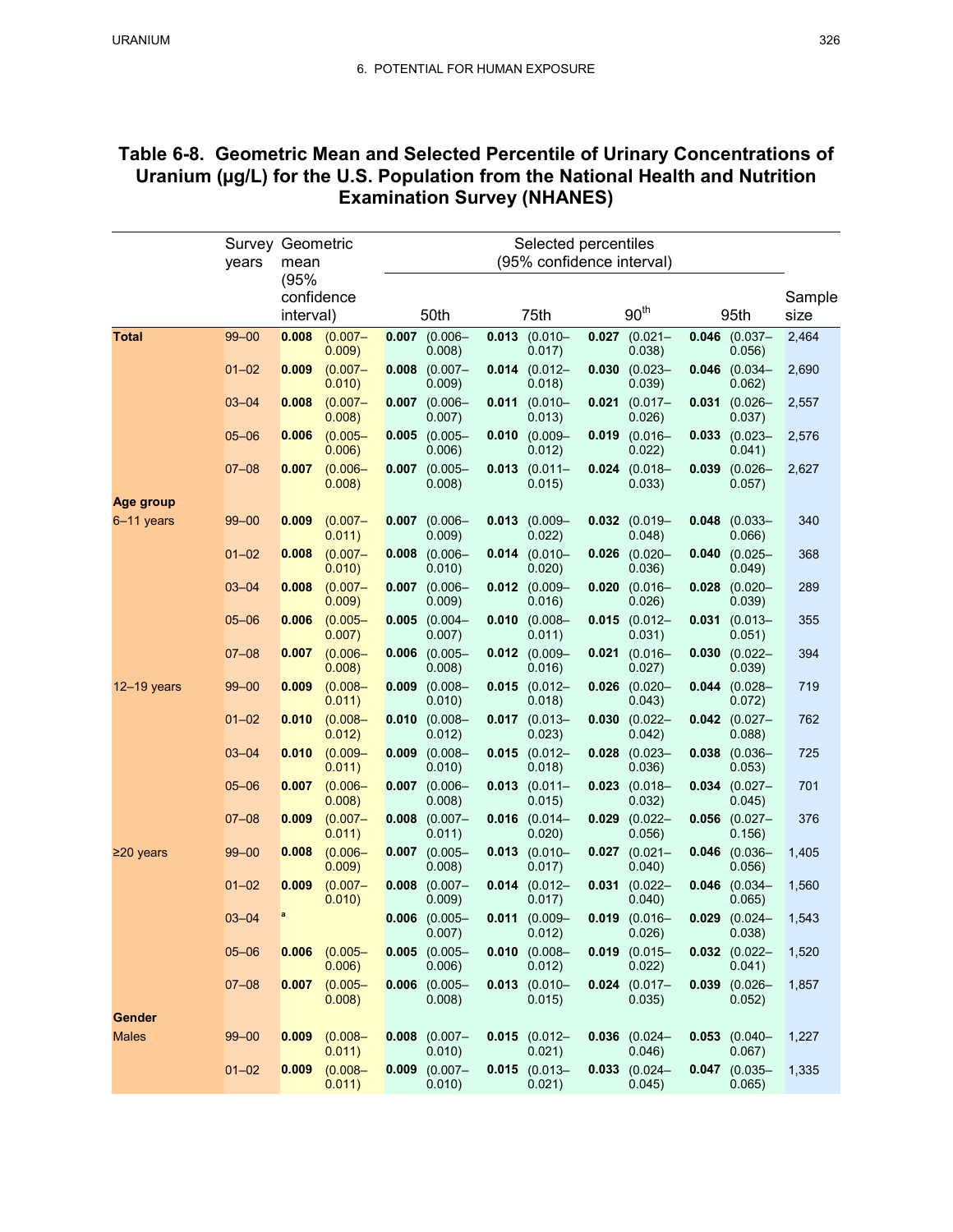# **Table 6-8. Geometric Mean and Selected Percentile of Urinary Concentrations of Uranium (µg/L) for the U.S. Population from the National Health and Nutrition Examination Survey (NHANES)**

|                 |           |            | Survey Geometric<br>Selected percentiles |       |                              |       |                              |       |                              |       |                              |        |
|-----------------|-----------|------------|------------------------------------------|-------|------------------------------|-------|------------------------------|-------|------------------------------|-------|------------------------------|--------|
|                 | years     | mean       |                                          |       |                              |       | (95% confidence interval)    |       |                              |       |                              |        |
|                 |           | (95%       |                                          |       |                              |       |                              |       |                              |       |                              |        |
|                 |           | confidence |                                          |       |                              |       |                              |       | 90 <sup>th</sup>             |       | 95th                         | Sample |
|                 |           | interval)  |                                          |       | 50th                         |       | 75th                         |       |                              |       |                              | size   |
| <b>Total</b>    | $99 - 00$ | 0.008      | $(0.007 -$<br>0.009)                     | 0.007 | $(0.006 -$<br>0.008)         | 0.013 | $(0.010 -$<br>0.017)         | 0.027 | $(0.021 -$<br>0.038)         | 0.046 | $(0.037 -$<br>0.056          | 2,464  |
|                 | $01 - 02$ | 0.009      | $(0.007 -$                               | 0.008 | $(0.007 -$                   |       | $0.014$ (0.012-              | 0.030 | $(0.023 -$                   | 0.046 | $(0.034 -$                   | 2,690  |
|                 |           |            | 0.010)                                   |       | 0.009)                       |       | 0.018)                       |       | 0.039)                       |       | 0.062)                       |        |
|                 | $03 - 04$ | 0.008      | $(0.007 -$<br>0.008                      |       | $0.007$ (0.006-<br>0.007)    |       | $0.011$ (0.010-<br>0.013)    | 0.021 | $(0.017 -$<br>0.026)         |       | $0.031$ (0.026-<br>0.037)    | 2,557  |
|                 | $05 - 06$ | 0.006      | $(0.005 -$<br>0.006)                     |       | $0.005$ (0.005-<br>0.006)    |       | $0.010$ $(0.009 -$<br>0.012) | 0.019 | $(0.016 -$<br>0.022)         |       | $0.033$ (0.023-<br>0.041)    | 2,576  |
|                 | $07 - 08$ | 0.007      | $(0.006 -$<br>0.008                      | 0.007 | $(0.005 -$<br>0.008)         |       | $0.013$ (0.011-<br>0.015)    |       | $0.024$ (0.018-<br>0.033)    | 0.039 | $(0.026 -$<br>0.057)         | 2,627  |
| Age group       |           |            |                                          |       |                              |       |                              |       |                              |       |                              |        |
| $6-11$ years    | $99 - 00$ | 0.009      | $(0.007 -$<br>0.011)                     | 0.007 | $(0.006 -$<br>0.009)         | 0.013 | $(0.009 -$<br>0.022)         |       | $0.032$ $(0.019 -$<br>0.048) | 0.048 | $(0.033 -$<br>0.066)         | 340    |
|                 | $01 - 02$ | 0.008      | $(0.007 -$<br>0.010)                     |       | $0.008$ (0.006-<br>0.010)    |       | $0.014$ (0.010-<br>0.020)    |       | $0.026$ (0.020-<br>0.036)    |       | $0.040$ (0.025-<br>0.049)    | 368    |
|                 | $03 - 04$ | 0.008      | $(0.007 -$<br>0.009)                     | 0.007 | $(0.006 -$<br>0.009)         |       | $0.012$ (0.009-<br>0.016     | 0.020 | $(0.016 -$<br>0.026)         | 0.028 | $(0.020 -$<br>0.039)         | 289    |
|                 | $05 - 06$ | 0.006      | $(0.005 -$<br>0.007                      |       | $0.005$ (0.004-<br>0.007)    |       | $0.010$ (0.008-<br>0.011)    |       | $0.015$ (0.012-<br>0.031)    |       | $0.031$ (0.013-<br>0.051)    | 355    |
|                 | $07 - 08$ | 0.007      | $(0.006 -$<br>0.008                      | 0.006 | $(0.005 -$<br>0.008)         |       | $0.012$ (0.009-<br>0.016)    | 0.021 | $(0.016 -$<br>0.027)         | 0.030 | $(0.022 -$<br>0.039)         | 394    |
| $12 - 19$ years | $99 - 00$ | 0.009      | $(0.008 -$<br>0.011)                     | 0.009 | $(0.008 -$<br>0.010)         |       | $0.015$ (0.012-<br>0.018)    | 0.026 | $(0.020 -$<br>0.043)         | 0.044 | $(0.028 -$<br>0.072)         | 719    |
|                 | $01 - 02$ | 0.010      | $(0.008 -$<br>0.012)                     | 0.010 | $(0.008 -$<br>0.012)         |       | $0.017$ (0.013-<br>0.023)    | 0.030 | $(0.022 -$<br>0.042)         |       | $0.042$ (0.027-<br>0.088)    | 762    |
|                 | $03 - 04$ | 0.010      | $(0.009 -$<br>0.011)                     | 0.009 | $(0.008 -$<br>0.010)         |       | $0.015$ (0.012-<br>0.018)    | 0.028 | $(0.023 -$<br>0.036)         | 0.038 | $(0.036 -$<br>0.053)         | 725    |
|                 | $05 - 06$ | 0.007      | $(0.006 -$<br>0.008                      |       | $0.007$ (0.006-<br>0.008)    |       | $0.013$ (0.011-<br>0.015)    |       | $0.023$ (0.018-<br>0.032)    |       | $0.034$ (0.027-<br>0.045)    | 701    |
|                 | $07 - 08$ | 0.009      | $(0.007 -$<br>0.011)                     | 0.008 | $(0.007 -$<br>0.011)         |       | $0.016$ (0.014-<br>0.020)    | 0.029 | $(0.022 -$<br>0.056)         | 0.056 | $(0.027 -$<br>0.156)         | 376    |
| $\geq$ 20 years | $99 - 00$ | 0.008      | $(0.006 -$<br>0.009)                     |       | $0.007$ (0.005-<br>0.008)    |       | $0.013$ (0.010-<br>0.017)    | 0.027 | $(0.021 -$<br>0.040)         |       | $0.046$ (0.036-<br>0.056)    | 1,405  |
|                 | $01 - 02$ | 0.009      | $(0.007 -$<br>0.010)                     | 0.008 | $(0.007 -$<br>0.009)         |       | $0.014$ (0.012-<br>0.017)    | 0.031 | $(0.022 -$<br>0.040)         | 0.046 | $(0.034 -$<br>0.065          | 1,560  |
|                 | $03 - 04$ | a          |                                          |       | $0.006$ (0.005-<br>0.007)    |       | $0.011$ (0.009-<br>0.012)    |       | $0.019$ (0.016-<br>0.026)    |       | $0.029$ (0.024-<br>0.038)    | 1,543  |
|                 | $05 - 06$ | 0.006      | $(0.005 -$<br>0.006)                     |       | $0.005$ (0.005-<br>0.006)    |       | $0.010$ $(0.008 -$<br>0.012) |       | $0.019$ $(0.015 -$<br>0.022) |       | $0.032$ (0.022-<br>0.041)    | 1,520  |
|                 | $07 - 08$ | 0.007      | $(0.005 -$<br>0.008)                     |       | $0.006$ (0.005-<br>0.008)    |       | $0.013$ $(0.010 -$<br>0.015) |       | $0.024$ (0.017-<br>0.035)    |       | $0.039$ $(0.026 -$<br>0.052) | 1,857  |
| <b>Gender</b>   |           |            |                                          |       |                              |       |                              |       |                              |       |                              |        |
| <b>Males</b>    | $99 - 00$ | 0.009      | $(0.008 -$<br>0.011)                     |       | $0.008$ $(0.007 -$<br>0.010) |       | $0.015$ (0.012-<br>0.021)    |       | $0.036$ $(0.024 -$<br>0.046) |       | $0.053$ (0.040-<br>0.067)    | 1,227  |
|                 | $01 - 02$ | 0.009      | $(0.008 -$<br>0.011)                     | 0.009 | $(0.007 -$<br>0.010)         |       | $0.015$ (0.013-<br>0.021)    |       | $0.033$ $(0.024 -$<br>0.045) |       | $0.047$ (0.035-<br>0.065)    | 1,335  |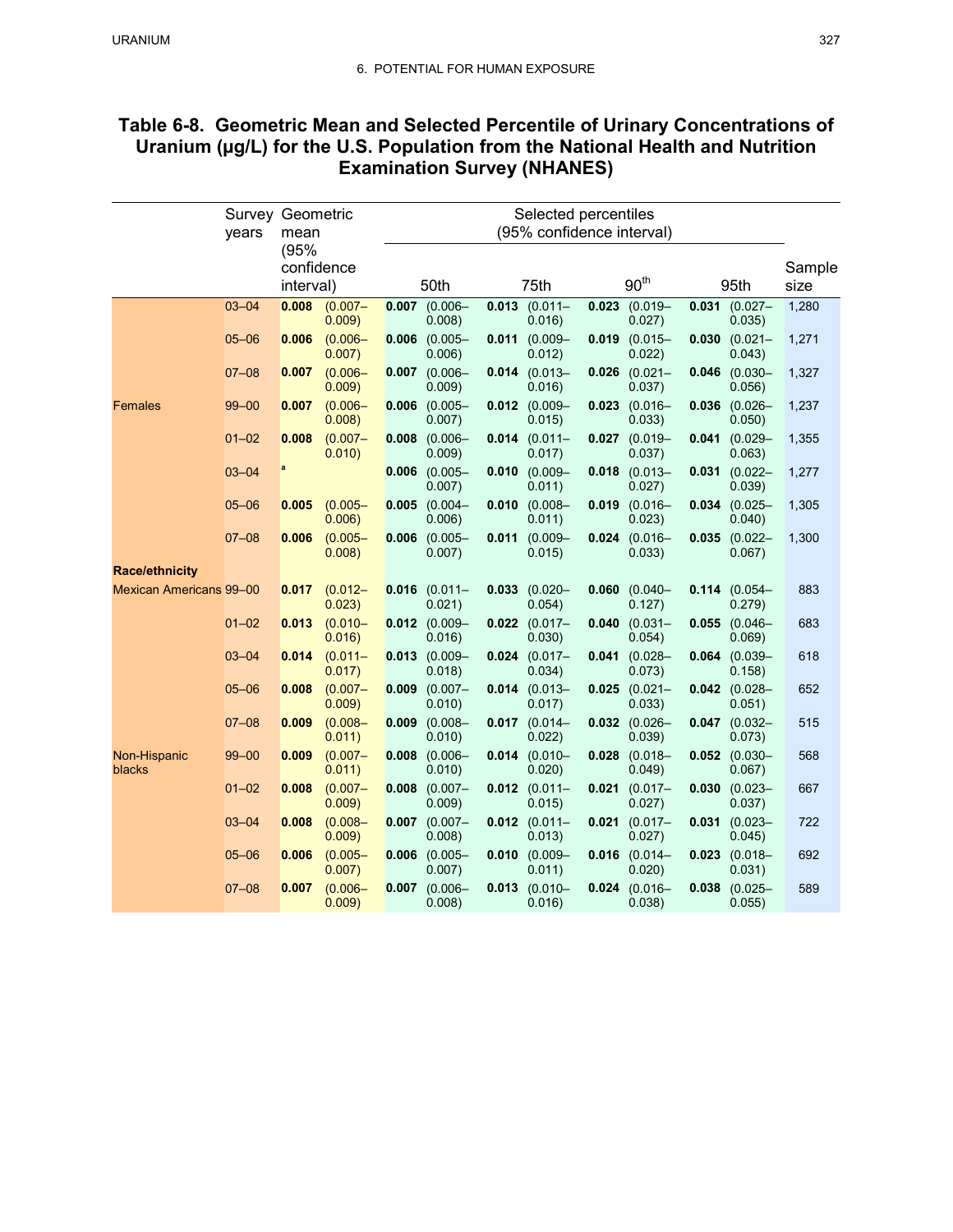| Table 6-8. Geometric Mean and Selected Percentile of Urinary Concentrations of |
|--------------------------------------------------------------------------------|
| Uranium (µg/L) for the U.S. Population from the National Health and Nutrition  |
| <b>Examination Survey (NHANES)</b>                                             |

|                                | <b>Survey Geometric</b><br>years | mean                            |                      | Selected percentiles<br>(95% confidence interval) |                             |       |                              |       |                              |       |                           |                |
|--------------------------------|----------------------------------|---------------------------------|----------------------|---------------------------------------------------|-----------------------------|-------|------------------------------|-------|------------------------------|-------|---------------------------|----------------|
|                                |                                  | (95%<br>confidence<br>interval) |                      |                                                   | 50th                        |       | 75th                         |       | $90^{\rm th}$                |       | 95th                      | Sample<br>size |
|                                | $03 - 04$                        | 0.008                           | $(0.007 -$<br>0.009) |                                                   | $0.007$ (0.006-<br>0.008    |       | $0.013$ (0.011-<br>0.016     |       | $0.023$ (0.019-<br>0.027)    |       | $0.031$ (0.027-<br>0.035) | 1,280          |
|                                | $05 - 06$                        | 0.006                           | $(0.006 -$<br>0.007) | 0.006                                             | $(0.005 -$<br>0.006)        | 0.011 | $(0.009 -$<br>0.012)         | 0.019 | $(0.015 -$<br>0.022)         | 0.030 | $(0.021 -$<br>0.043)      | 1,271          |
|                                | $07 - 08$                        | 0.007                           | $(0.006 -$<br>0.009) |                                                   | $0.007$ (0.006-<br>0.009    |       | $0.014$ (0.013-<br>0.016)    |       | $0.026$ (0.021-<br>0.037)    |       | $0.046$ (0.030-<br>0.056) | 1,327          |
| Females                        | $99 - 00$                        | 0.007                           | $(0.006 -$<br>0.008) | 0.006                                             | $(0.005 -$<br>0.007)        |       | $0.012$ (0.009-<br>0.015)    | 0.023 | $(0.016 -$<br>0.033)         | 0.036 | $(0.026 -$<br>0.050)      | 1,237          |
|                                | $01 - 02$                        | 0.008                           | $(0.007 -$<br>0.010) |                                                   | $0.008$ $(0.006 -$<br>0.009 |       | $0.014$ (0.011-<br>0.017)    |       | $0.027$ (0.019-<br>0.037)    |       | $0.041$ (0.029-<br>0.063) | 1,355          |
|                                | $03 - 04$                        | a                               |                      |                                                   | $0.006$ (0.005-<br>0.007)   | 0.010 | $(0.009 -$<br>0.011)         | 0.018 | $(0.013 -$<br>0.027)         | 0.031 | $(0.022 -$<br>0.039)      | 1,277          |
|                                | $05 - 06$                        | 0.005                           | $(0.005 -$<br>0.006  |                                                   | $0.005$ (0.004-<br>0.006)   |       | $0.010$ (0.008-<br>0.011)    |       | $0.019$ (0.016-<br>0.023)    |       | $0.034$ (0.025-<br>0.040) | 1,305          |
|                                | $07 - 08$                        | 0.006                           | $(0.005 -$<br>0.008) | 0.006                                             | $(0.005 -$<br>0.007)        | 0.011 | $(0.009 -$<br>0.015)         | 0.024 | $(0.016 -$<br>0.033)         | 0.035 | $(0.022 -$<br>0.067)      | 1,300          |
| <b>Race/ethnicity</b>          |                                  |                                 |                      |                                                   |                             |       |                              |       |                              |       |                           |                |
| <b>Mexican Americans 99-00</b> |                                  | 0.017                           | $(0.012 -$<br>0.023) |                                                   | $0.016$ (0.011-<br>0.021)   |       | $0.033$ (0.020-<br>0.054)    |       | $0.060$ $(0.040 -$<br>0.127) |       | $0.114$ (0.054-<br>0.279) | 883            |
|                                | $01 - 02$                        | 0.013                           | $(0.010 -$<br>0.016) |                                                   | $0.012$ (0.009-<br>0.016)   |       | $0.022$ $(0.017 -$<br>0.030) | 0.040 | $(0.031 -$<br>0.054)         | 0.055 | $(0.046 -$<br>0.069)      | 683            |
|                                | $03 - 04$                        | 0.014                           | $(0.011 -$<br>0.017) |                                                   | $0.013$ (0.009-<br>0.018)   |       | $0.024$ (0.017-<br>0.034)    |       | $0.041$ (0.028-<br>0.073)    |       | $0.064$ (0.039-<br>0.158) | 618            |
|                                | $05 - 06$                        | 0.008                           | $(0.007 -$<br>0.009) | 0.009                                             | $(0.007 -$<br>0.010)        |       | $0.014$ (0.013-<br>0.017)    | 0.025 | $(0.021 -$<br>0.033)         |       | $0.042$ (0.028-<br>0.051) | 652            |
|                                | $07 - 08$                        | 0.009                           | $(0.008 -$<br>0.011) | 0.009                                             | $(0.008 -$<br>0.010)        |       | $0.017$ (0.014-<br>0.022)    |       | $0.032$ (0.026-<br>0.039)    |       | $0.047$ (0.032-<br>0.073) | 515            |
| Non-Hispanic<br>blacks         | $99 - 00$                        | 0.009                           | $(0.007 -$<br>0.011) | 0.008                                             | $(0.006 -$<br>0.010)        |       | $0.014$ (0.010-<br>0.020)    | 0.028 | $(0.018 -$<br>0.049          | 0.052 | $(0.030 -$<br>0.067)      | 568            |
|                                | $01 - 02$                        | 0.008                           | $(0.007 -$<br>0.009  | 0.008                                             | $(0.007 -$<br>0.009         |       | $0.012$ (0.011-<br>0.015)    |       | $0.021$ (0.017-<br>0.027)    | 0.030 | $(0.023 -$<br>0.037)      | 667            |
|                                | $03 - 04$                        | 0.008                           | $(0.008 -$<br>0.009) | 0.007                                             | $(0.007 -$<br>0.008         |       | $0.012$ $(0.011 -$<br>0.013) | 0.021 | $(0.017 -$<br>0.027)         | 0.031 | $(0.023 -$<br>0.045)      | 722            |
|                                | $05 - 06$                        | 0.006                           | $(0.005 -$<br>0.007  | 0.006                                             | $(0.005 -$<br>0.007         |       | $0.010$ (0.009-<br>0.011)    |       | $0.016$ (0.014-<br>0.020)    | 0.023 | $(0.018 -$<br>0.031)      | 692            |
|                                | $07 - 08$                        | 0.007                           | $(0.006 -$<br>0.009) | 0.007                                             | $(0.006 -$<br>0.008)        | 0.013 | $(0.010 -$<br>0.016)         | 0.024 | $(0.016 -$<br>0.038)         | 0.038 | $(0.025 -$<br>0.055)      | 589            |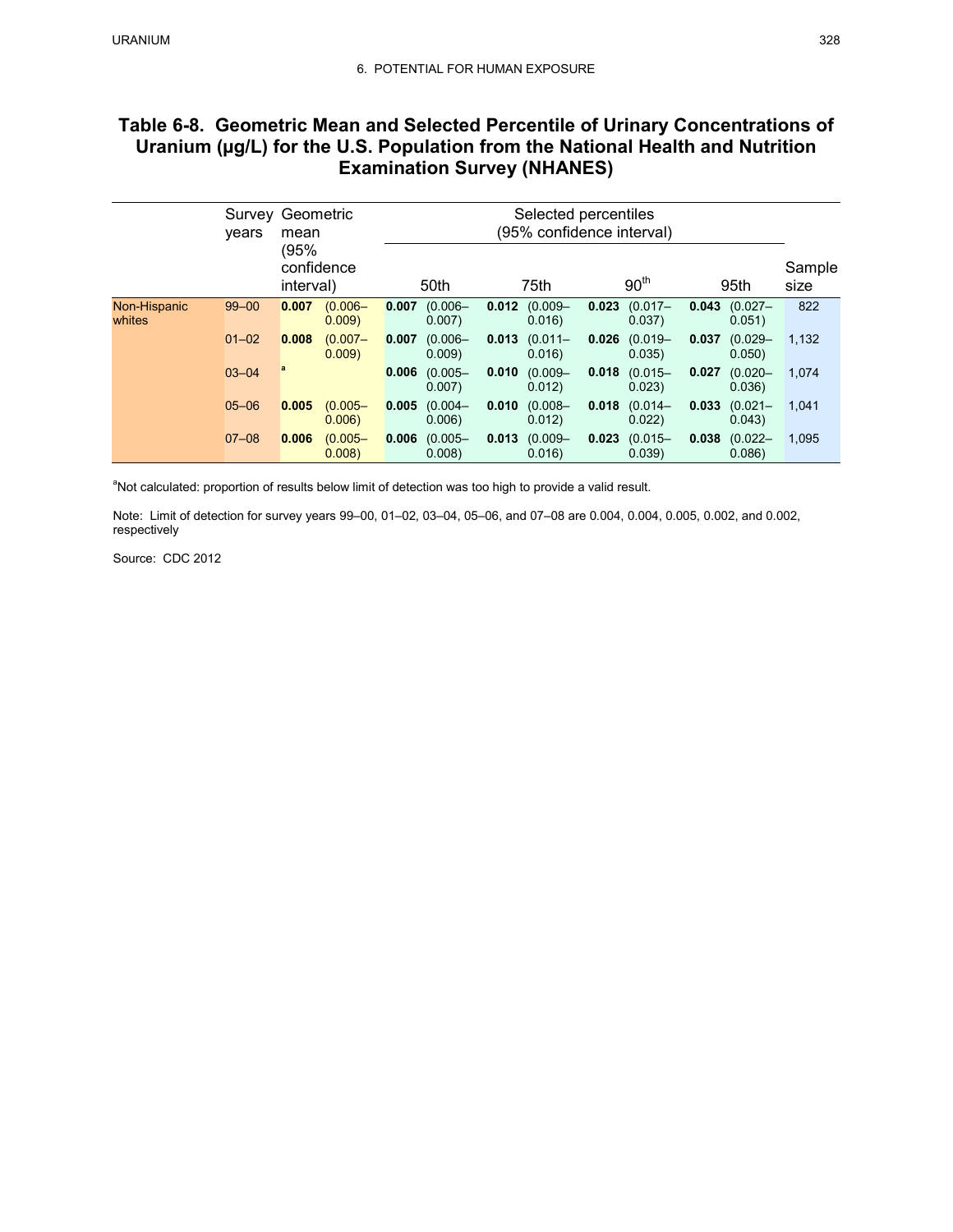# **Table 6-8. Geometric Mean and Selected Percentile of Urinary Concentrations of Uranium (µg/L) for the U.S. Population from the National Health and Nutrition Examination Survey (NHANES)**

|                        | Survey<br>vears | Geometric<br>mean               |                     | Selected percentiles<br>(95% confidence interval) |                     |       |                      |                  |                      |       |                      |                |
|------------------------|-----------------|---------------------------------|---------------------|---------------------------------------------------|---------------------|-------|----------------------|------------------|----------------------|-------|----------------------|----------------|
|                        |                 | (95%<br>confidence<br>interval) |                     |                                                   | 50th                | 75th  |                      | 90 <sup>th</sup> |                      | 95th  |                      | Sample<br>size |
| Non-Hispanic<br>whites | $99 - 00$       | 0.007                           | $(0.006 -$<br>0.009 | 0.007                                             | $(0.006 -$<br>0.007 | 0.012 | $(0.009 -$<br>0.016  | 0.023            | $(0.017 -$<br>0.037) | 0.043 | $(0.027 -$<br>0.051) | 822            |
|                        | $01 - 02$       | 0.008                           | $(0.007 -$<br>0.009 | 0.007                                             | $(0.006 -$<br>0.009 | 0.013 | $(0.011 -$<br>0.016  | 0.026            | $(0.019 -$<br>0.035) | 0.037 | $(0.029 -$<br>0.050) | 1,132          |
|                        | $03 - 04$       | a                               |                     | 0.006                                             | $(0.005 -$<br>0.007 | 0.010 | $(0.009 -$<br>0.012) | 0.018            | $(0.015 -$<br>0.023  | 0.027 | $(0.020 -$<br>0.036  | 1,074          |
|                        | $05 - 06$       | 0.005                           | $(0.005 -$<br>0.006 | 0.005                                             | $(0.004 -$<br>0.006 | 0.010 | $(0.008 -$<br>0.012) | 0.018            | $(0.014 -$<br>0.022  | 0.033 | $(0.021 -$<br>0.043) | 1,041          |
|                        | $07 - 08$       | 0.006                           | $(0.005 -$<br>0.008 | 0.006                                             | $(0.005 -$<br>0.008 | 0.013 | $(0.009 -$<br>0.016  | 0.023            | $(0.015 -$<br>0.039  | 0.038 | $(0.022 -$<br>0.086  | 1,095          |

<sup>a</sup>Not calculated: proportion of results below limit of detection was too high to provide a valid result.

 Note: Limit of detection for survey years 99–00, 01–02, 03–04, 05–06, and 07–08 are 0.004, 0.004, 0.005, 0.002, and 0.002, respectively

Source: CDC 2012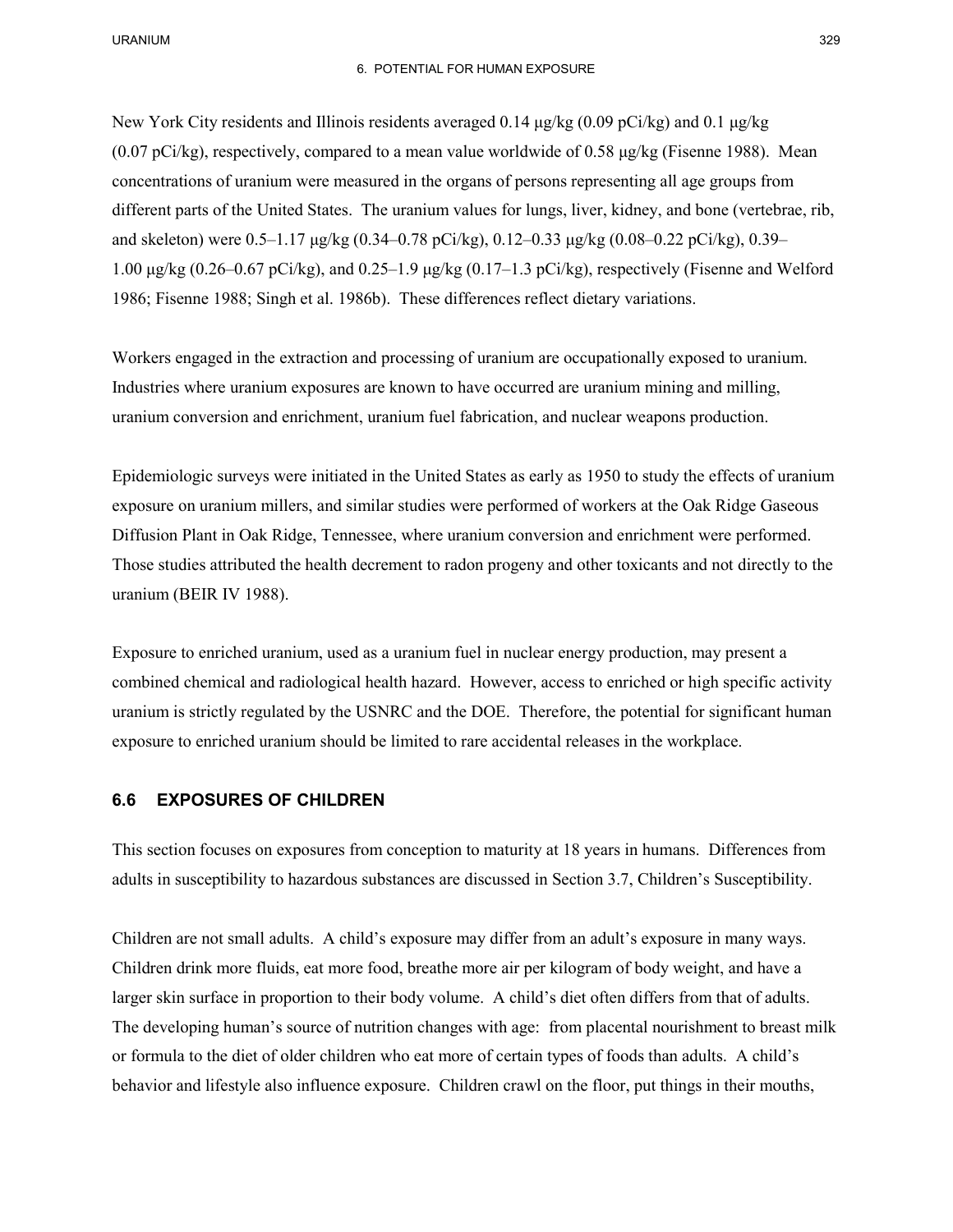### 6. POTENTIAL FOR HUMAN EXPOSURE

 New York City residents and Illinois residents averaged 0.14 μg/kg (0.09 pCi/kg) and 0.1 μg/kg concentrations of uranium were measured in the organs of persons representing all age groups from different parts of the United States. The uranium values for lungs, liver, kidney, and bone (vertebrae, rib, 1.00 μg/kg (0.26–0.67 pCi/kg), and 0.25–1.9 μg/kg (0.17–1.3 pCi/kg), respectively (Fisenne and Welford (0.07 pCi/kg), respectively, compared to a mean value worldwide of 0.58  $\mu$ g/kg (Fisenne 1988). Mean and skeleton) were 0.5–1.17 μg/kg (0.34–0.78 pCi/kg), 0.12–0.33 μg/kg (0.08–0.22 pCi/kg), 0.39– 1986; Fisenne 1988; Singh et al. 1986b). These differences reflect dietary variations.

 Workers engaged in the extraction and processing of uranium are occupationally exposed to uranium. uranium conversion and enrichment, uranium fuel fabrication, and nuclear weapons production. Industries where uranium exposures are known to have occurred are uranium mining and milling,

uranium conversion and enrichment, uranium fuel fabrication, and nuclear weapons production.<br>Epidemiologic surveys were initiated in the United States as early as 1950 to study the effects of uranium exposure on uranium millers, and similar studies were performed of workers at the Oak Ridge Gaseous Diffusion Plant in Oak Ridge, Tennessee, where uranium conversion and enrichment were performed. uranium (BEIR IV 1988). Those studies attributed the health decrement to radon progeny and other toxicants and not directly to the

 combined chemical and radiological health hazard. However, access to enriched or high specific activity exposure to enriched uranium should be limited to rare accidental releases in the workplace. Exposure to enriched uranium, used as a uranium fuel in nuclear energy production, may present a uranium is strictly regulated by the USNRC and the DOE. Therefore, the potential for significant human

## **6.6 EXPOSURES OF CHILDREN**

 This section focuses on exposures from conception to maturity at 18 years in humans. Differences from adults in susceptibility to hazardous substances are discussed in Section 3.7, Children's Susceptibility.

 Children are not small adults. A child's exposure may differ from an adult's exposure in many ways. larger skin surface in proportion to their body volume. A child's diet often differs from that of adults. or formula to the diet of older children who eat more of certain types of foods than adults. A child's behavior and lifestyle also influence exposure. Children crawl on the floor, put things in their mouths, Children drink more fluids, eat more food, breathe more air per kilogram of body weight, and have a The developing human's source of nutrition changes with age: from placental nourishment to breast milk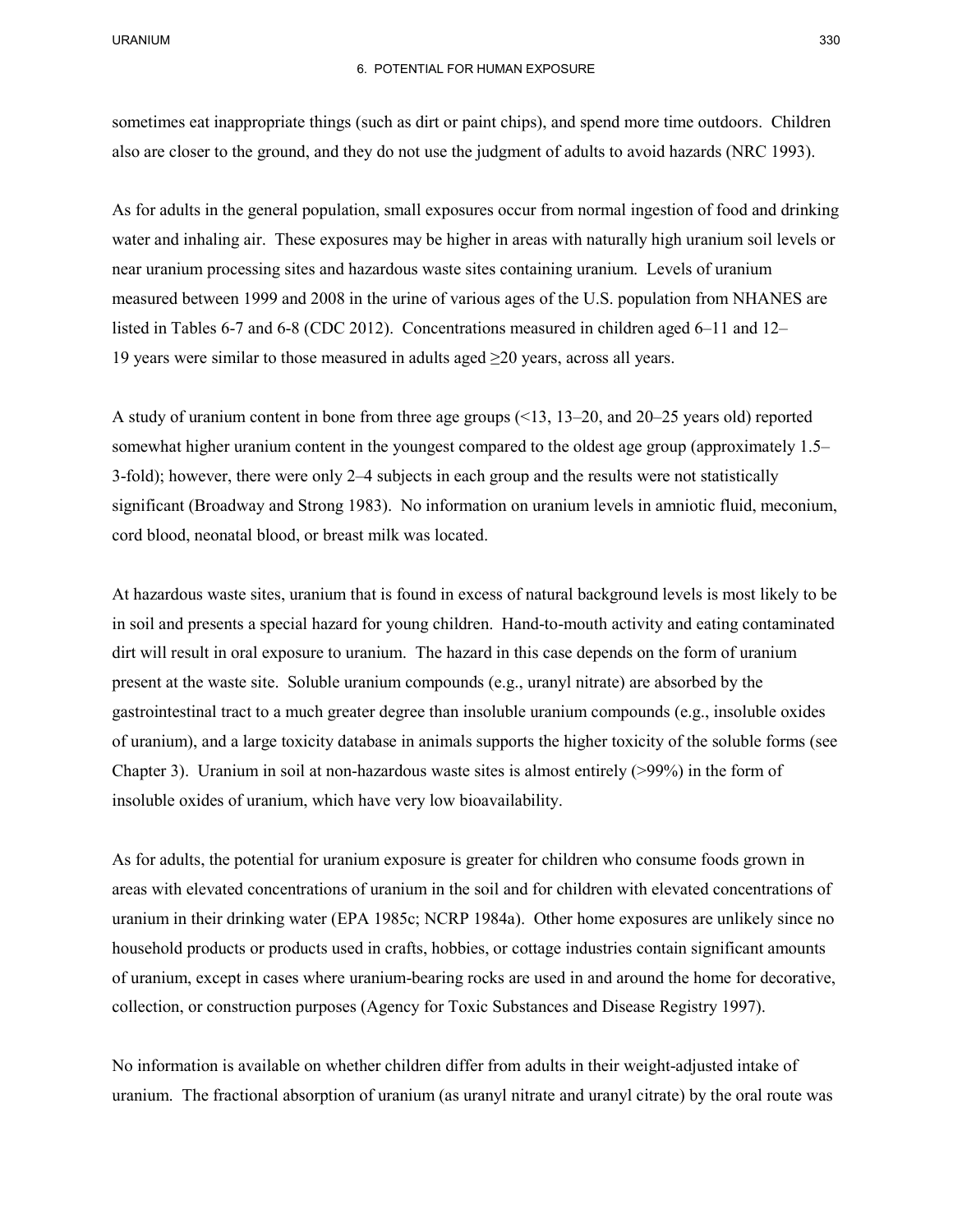also are closer to the ground, and they do not use the judgment of adults to avoid hazards (NRC 1993). sometimes eat inappropriate things (such as dirt or paint chips), and spend more time outdoors. Children

 As for adults in the general population, small exposures occur from normal ingestion of food and drinking water and inhaling air. These exposures may be higher in areas with naturally high uranium soil levels or near uranium processing sites and hazardous waste sites containing uranium. Levels of uranium listed in Tables 6-7 and 6-8 (CDC 2012). Concentrations measured in children aged 6–11 and 12– 19 years were similar to those measured in adults aged  $\geq$ 20 years, across all years. measured between 1999 and 2008 in the urine of various ages of the U.S. population from NHANES are

 A study of uranium content in bone from three age groups (<13, 13–20, and 20–25 years old) reported somewhat higher uranium content in the youngest compared to the oldest age group (approximately 1.5– 3-fold); however, there were only 2–4 subjects in each group and the results were not statistically significant (Broadway and Strong 1983). No information on uranium levels in amniotic fluid, meconium, cord blood, neonatal blood, or breast milk was located.

 At hazardous waste sites, uranium that is found in excess of natural background levels is most likely to be in soil and presents a special hazard for young children. Hand-to-mouth activity and eating contaminated present at the waste site. Soluble uranium compounds (e.g., uranyl nitrate) are absorbed by the gastrointestinal tract to a much greater degree than insoluble uranium compounds (e.g., insoluble oxides of uranium), and a large toxicity database in animals supports the higher toxicity of the soluble forms (see Chapter 3). Uranium in soil at non-hazardous waste sites is almost entirely (>99%) in the form of dirt will result in oral exposure to uranium. The hazard in this case depends on the form of uranium insoluble oxides of uranium, which have very low bioavailability.

 areas with elevated concentrations of uranium in the soil and for children with elevated concentrations of household products or products used in crafts, hobbies, or cottage industries contain significant amounts of uranium, except in cases where uranium-bearing rocks are used in and around the home for decorative, collection, or construction purposes (Agency for Toxic Substances and Disease Registry 1997). As for adults, the potential for uranium exposure is greater for children who consume foods grown in uranium in their drinking water (EPA 1985c; NCRP 1984a). Other home exposures are unlikely since no

 No information is available on whether children differ from adults in their weight-adjusted intake of uranium. The fractional absorption of uranium (as uranyl nitrate and uranyl citrate) by the oral route was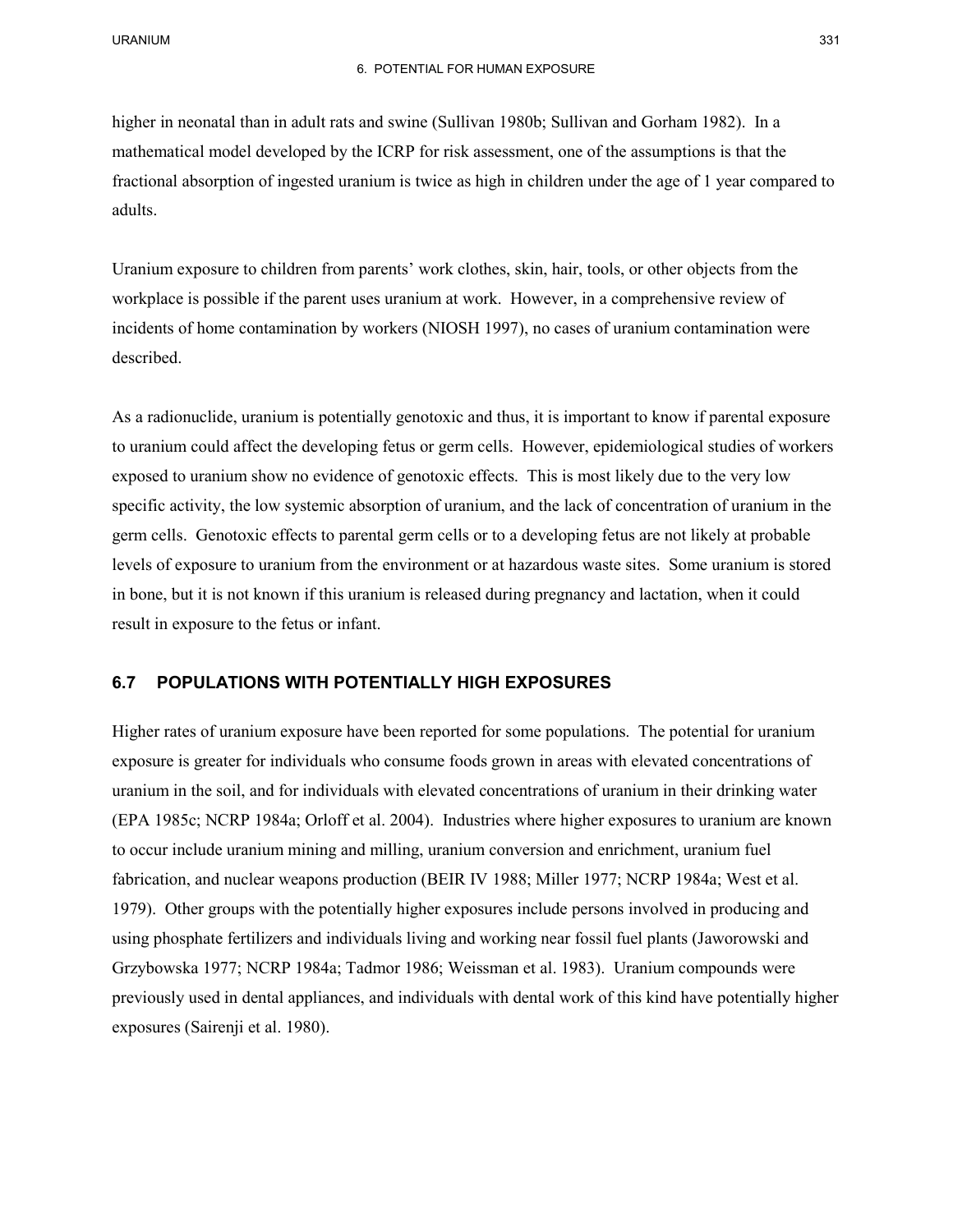higher in neonatal than in adult rats and swine (Sullivan 1980b; Sullivan and Gorham 1982). In a mathematical model developed by the ICRP for risk assessment, one of the assumptions is that the fractional absorption of ingested uranium is twice as high in children under the age of 1 year compared to adults.

 Uranium exposure to children from parents' work clothes, skin, hair, tools, or other objects from the workplace is possible if the parent uses uranium at work. However, in a comprehensive review of incidents of home contamination by workers (NIOSH 1997), no cases of uranium contamination were described.

 to uranium could affect the developing fetus or germ cells. However, epidemiological studies of workers germ cells. Genotoxic effects to parental germ cells or to a developing fetus are not likely at probable result in exposure to the fetus or infant. As a radionuclide, uranium is potentially genotoxic and thus, it is important to know if parental exposure exposed to uranium show no evidence of genotoxic effects. This is most likely due to the very low specific activity, the low systemic absorption of uranium, and the lack of concentration of uranium in the levels of exposure to uranium from the environment or at hazardous waste sites. Some uranium is stored in bone, but it is not known if this uranium is released during pregnancy and lactation, when it could

## **6.7 POPULATIONS WITH POTENTIALLY HIGH EXPOSURES**

 Higher rates of uranium exposure have been reported for some populations. The potential for uranium exposure is greater for individuals who consume foods grown in areas with elevated concentrations of uranium in the soil, and for individuals with elevated concentrations of uranium in their drinking water (EPA 1985c; NCRP 1984a; Orloff et al. 2004). Industries where higher exposures to uranium are known fabrication, and nuclear weapons production (BEIR IV 1988; Miller 1977; NCRP 1984a; West et al. 1979). Other groups with the potentially higher exposures include persons involved in producing and using phosphate fertilizers and individuals living and working near fossil fuel plants (Jaworowski and Grzybowska 1977; NCRP 1984a; Tadmor 1986; Weissman et al. 1983). Uranium compounds were previously used in dental appliances, and individuals with dental work of this kind have potentially higher to occur include uranium mining and milling, uranium conversion and enrichment, uranium fuel exposures (Sairenji et al. 1980).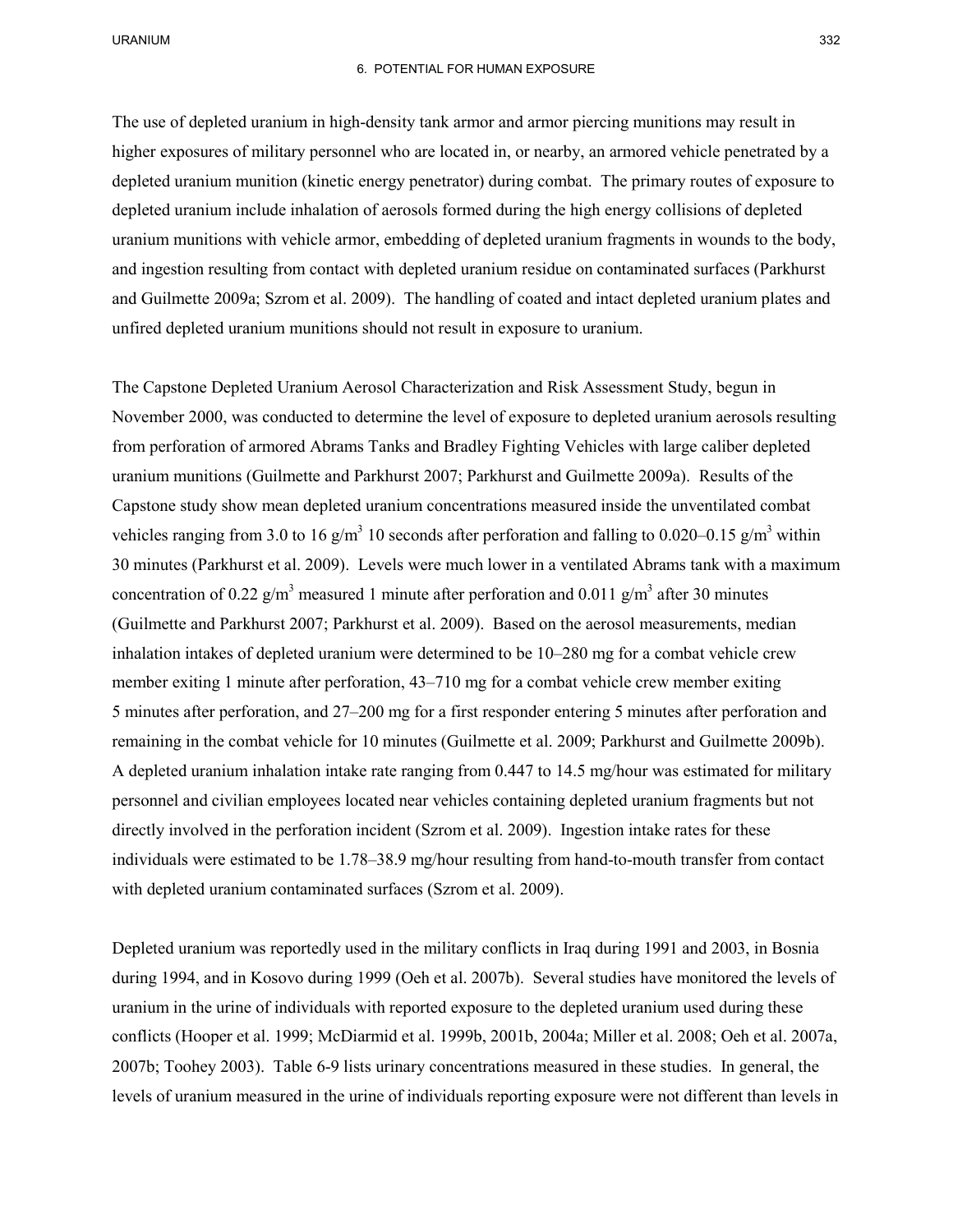#### 6. POTENTIAL FOR HUMAN EXPOSURE

 and ingestion resulting from contact with depleted uranium residue on contaminated surfaces (Parkhurst and Guilmette 2009a; Szrom et al. 2009). The handling of coated and intact depleted uranium plates and The use of depleted uranium in high-density tank armor and armor piercing munitions may result in higher exposures of military personnel who are located in, or nearby, an armored vehicle penetrated by a depleted uranium munition (kinetic energy penetrator) during combat. The primary routes of exposure to depleted uranium include inhalation of aerosols formed during the high energy collisions of depleted uranium munitions with vehicle armor, embedding of depleted uranium fragments in wounds to the body, unfired depleted uranium munitions should not result in exposure to uranium.

 November 2000, was conducted to determine the level of exposure to depleted uranium aerosols resulting Capstone study show mean depleted uranium concentrations measured inside the unventilated combat vehicles ranging from 3.0 to 16 g/m<sup>3</sup> 10 seconds after perforation and falling to 0.020–0.15 g/m<sup>3</sup> within 30 minutes (Parkhurst et al. 2009). Levels were much lower in a ventilated Abrams tank with a maximum inhalation intakes of depleted uranium were determined to be 10–280 mg for a combat vehicle crew member exiting 1 minute after perforation, 43–710 mg for a combat vehicle crew member exiting The Capstone Depleted Uranium Aerosol Characterization and Risk Assessment Study, begun in from perforation of armored Abrams Tanks and Bradley Fighting Vehicles with large caliber depleted uranium munitions (Guilmette and Parkhurst 2007; Parkhurst and Guilmette 2009a). Results of the concentration of 0.22  $g/m<sup>3</sup>$  measured 1 minute after perforation and 0.011  $g/m<sup>3</sup>$  after 30 minutes (Guilmette and Parkhurst 2007; Parkhurst et al. 2009). Based on the aerosol measurements, median 5 minutes after perforation, and 27–200 mg for a first responder entering 5 minutes after perforation and remaining in the combat vehicle for 10 minutes (Guilmette et al. 2009; Parkhurst and Guilmette 2009b). A depleted uranium inhalation intake rate ranging from 0.447 to 14.5 mg/hour was estimated for military personnel and civilian employees located near vehicles containing depleted uranium fragments but not directly involved in the perforation incident (Szrom et al. 2009). Ingestion intake rates for these individuals were estimated to be 1.78–38.9 mg/hour resulting from hand-to-mouth transfer from contact with depleted uranium contaminated surfaces (Szrom et al. 2009).

 during 1994, and in Kosovo during 1999 (Oeh et al. 2007b). Several studies have monitored the levels of conflicts (Hooper et al. 1999; McDiarmid et al. 1999b, 2001b, 2004a; Miller et al. 2008; Oeh et al. 2007a, 2007b; Toohey 2003). Table 6-9 lists urinary concentrations measured in these studies. In general, the levels of uranium measured in the urine of individuals reporting exposure were not different than levels in Depleted uranium was reportedly used in the military conflicts in Iraq during 1991 and 2003, in Bosnia uranium in the urine of individuals with reported exposure to the depleted uranium used during these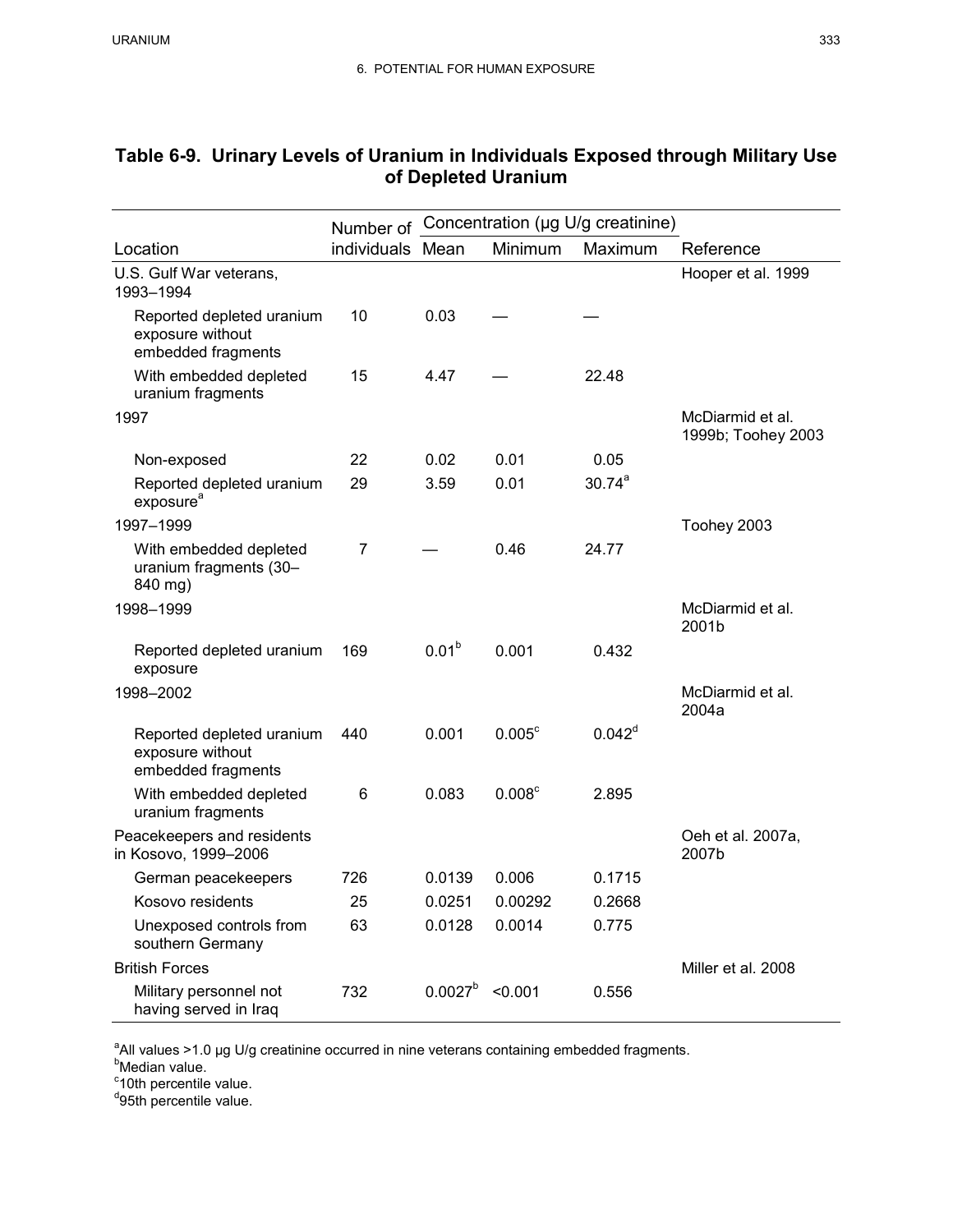|                                                                     | Concentration (µg U/g creatinine)<br>Number of |                   |                    |             |                                        |
|---------------------------------------------------------------------|------------------------------------------------|-------------------|--------------------|-------------|----------------------------------------|
| Location                                                            | individuals Mean                               |                   | Minimum            | Maximum     | Reference                              |
| U.S. Gulf War veterans,<br>1993-1994                                |                                                |                   |                    |             | Hooper et al. 1999                     |
| Reported depleted uranium<br>exposure without<br>embedded fragments | 10                                             | 0.03              |                    |             |                                        |
| With embedded depleted<br>uranium fragments                         | 15                                             | 4.47              |                    | 22.48       |                                        |
| 1997                                                                |                                                |                   |                    |             | McDiarmid et al.<br>1999b; Toohey 2003 |
| Non-exposed                                                         | 22                                             | 0.02              | 0.01               | 0.05        |                                        |
| Reported depleted uranium<br>exposure <sup>a</sup>                  | 29                                             | 3.59              | 0.01               | $30.74^{a}$ |                                        |
| 1997-1999                                                           |                                                |                   |                    |             | Toohey 2003                            |
| With embedded depleted<br>uranium fragments (30-<br>840 mg)         | 7                                              |                   | 0.46               | 24.77       |                                        |
| 1998-1999                                                           |                                                |                   |                    |             | McDiarmid et al.<br>2001b              |
| Reported depleted uranium<br>exposure                               | 169                                            | 0.01 <sup>b</sup> | 0.001              | 0.432       |                                        |
| 1998-2002                                                           |                                                |                   |                    |             | McDiarmid et al.<br>2004a              |
| Reported depleted uranium<br>exposure without<br>embedded fragments | 440                                            | 0.001             | $0.005^{\circ}$    | $0.042^d$   |                                        |
| With embedded depleted<br>uranium fragments                         | 6                                              | 0.083             | 0.008 <sup>c</sup> | 2.895       |                                        |
| Peacekeepers and residents<br>in Kosovo, 1999-2006                  |                                                |                   |                    |             | Oeh et al. 2007a,<br>2007b             |
| German peacekeepers                                                 | 726                                            | 0.0139            | 0.006              | 0.1715      |                                        |
| Kosovo residents                                                    | 25                                             | 0.0251            | 0.00292            | 0.2668      |                                        |
| Unexposed controls from<br>southern Germany                         | 63                                             | 0.0128            | 0.0014             | 0.775       |                                        |
| <b>British Forces</b>                                               |                                                |                   |                    |             | Miller et al. 2008                     |
| Military personnel not<br>having served in Iraq                     | 732                                            | $0.0027^b$ <0.001 |                    | 0.556       |                                        |

# **Table 6-9. Urinary Levels of Uranium in Individuals Exposed through Military Use of Depleted Uranium**

<sup>a</sup>All values >1.0 µg U/g creatinine occurred in nine veterans containing embedded fragments.

<sup>b</sup>Median value.<br><sup>c</sup>10th percentile value.

<sup>d</sup>95th percentile value.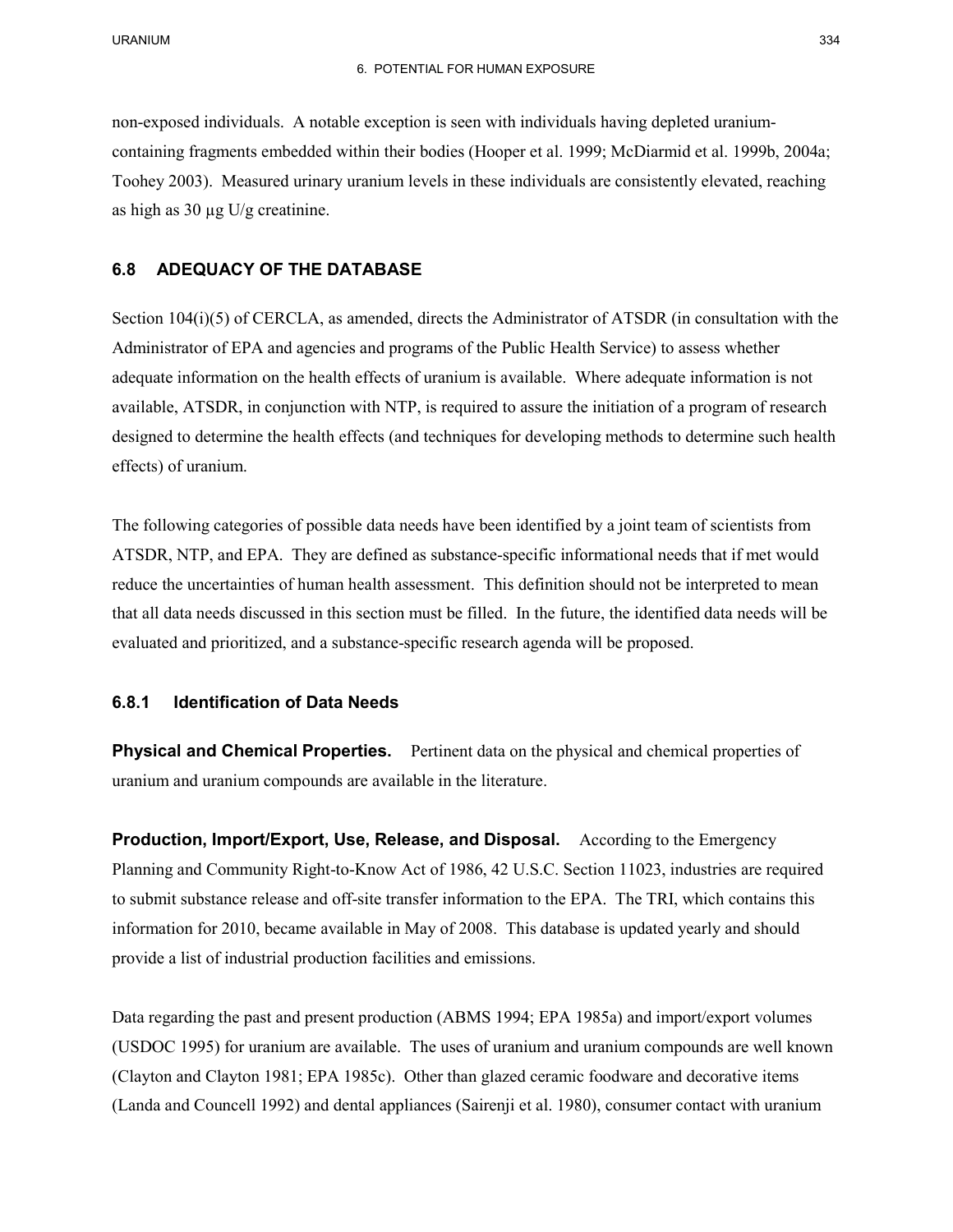containing fragments embedded within their bodies (Hooper et al. 1999; McDiarmid et al. 1999b, 2004a; Toohey 2003). Measured urinary uranium levels in these individuals are consistently elevated, reaching non-exposed individuals. A notable exception is seen with individuals having depleted uraniumas high as  $30 \mu g$  U/g creatinine.

## **6.8 ADEQUACY OF THE DATABASE**

 Administrator of EPA and agencies and programs of the Public Health Service) to assess whether adequate information on the health effects of uranium is available. Where adequate information is not available, ATSDR, in conjunction with NTP, is required to assure the initiation of a program of research effects) of uranium. Section 104(i)(5) of CERCLA, as amended, directs the Administrator of ATSDR (in consultation with the designed to determine the health effects (and techniques for developing methods to determine such health

 The following categories of possible data needs have been identified by a joint team of scientists from reduce the uncertainties of human health assessment. This definition should not be interpreted to mean that all data needs discussed in this section must be filled. In the future, the identified data needs will be evaluated and prioritized, and a substance-specific research agenda will be proposed. ATSDR, NTP, and EPA. They are defined as substance-specific informational needs that if met would

#### **6.8.1 Identification of Data Needs**

**Physical and Chemical Properties.** Pertinent data on the physical and chemical properties of uranium and uranium compounds are available in the literature.

**Production, Import/Export, Use, Release, and Disposal.** According to the Emergency to submit substance release and off-site transfer information to the EPA. The TRI, which contains this provide a list of industrial production facilities and emissions. Planning and Community Right-to-Know Act of 1986, 42 U.S.C. Section 11023, industries are required information for 2010, became available in May of 2008. This database is updated yearly and should

 Data regarding the past and present production (ABMS 1994; EPA 1985a) and import/export volumes (USDOC 1995) for uranium are available. The uses of uranium and uranium compounds are well known (Clayton and Clayton 1981; EPA 1985c). Other than glazed ceramic foodware and decorative items (Landa and Councell 1992) and dental appliances (Sairenji et al. 1980), consumer contact with uranium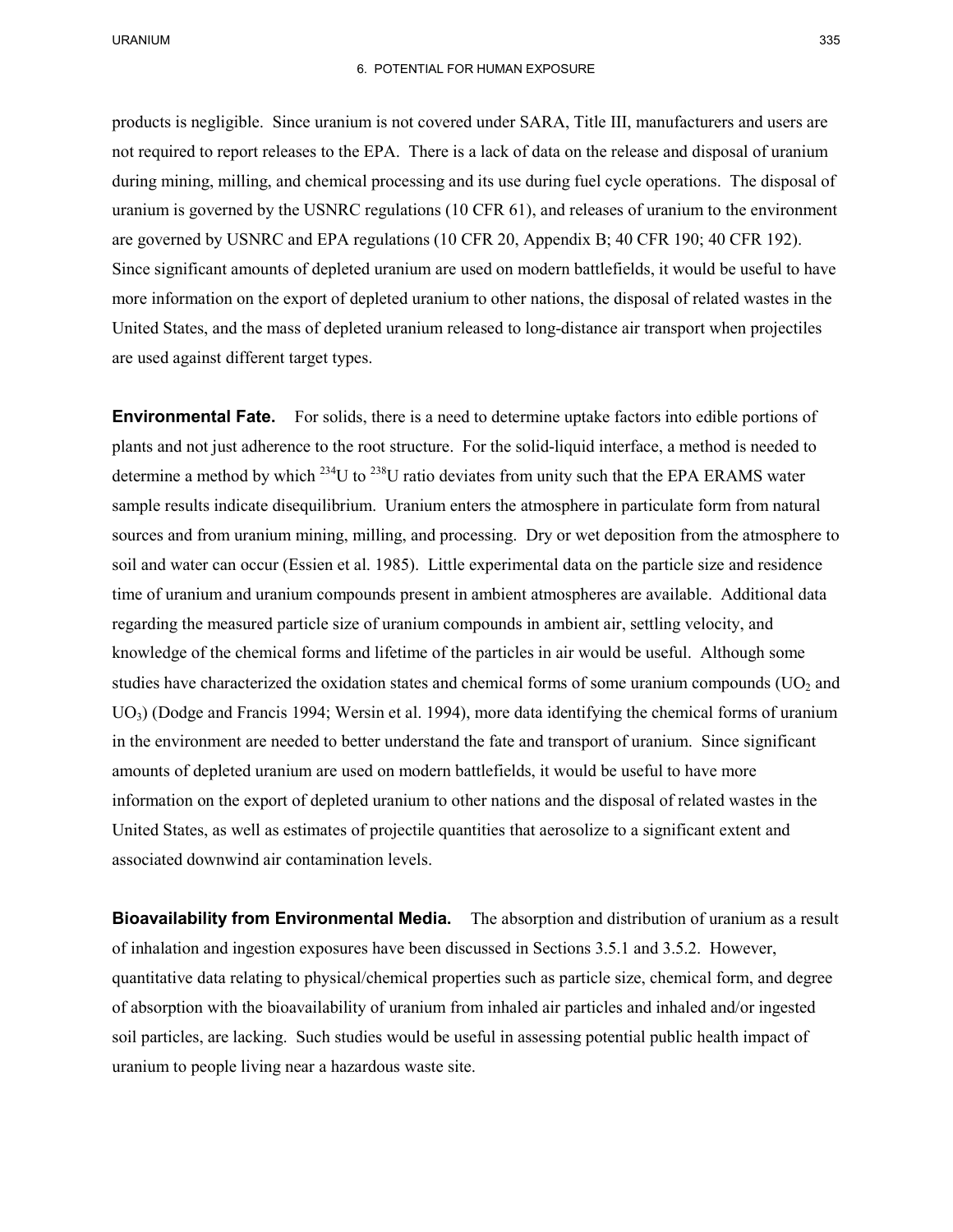products is negligible. Since uranium is not covered under SARA, Title III, manufacturers and users are not required to report releases to the EPA. There is a lack of data on the release and disposal of uranium during mining, milling, and chemical processing and its use during fuel cycle operations. The disposal of Since significant amounts of depleted uranium are used on modern battlefields, it would be useful to have more information on the export of depleted uranium to other nations, the disposal of related wastes in the United States, and the mass of depleted uranium released to long-distance air transport when projectiles are used against different target types. uranium is governed by the USNRC regulations (10 CFR 61), and releases of uranium to the environment are governed by USNRC and EPA regulations (10 CFR 20, Appendix B; 40 CFR 190; 40 CFR 192).

**Environmental Fate.** For solids, there is a need to determine uptake factors into edible portions of plants and not just adherence to the root structure. For the solid-liquid interface, a method is needed to determine a method by which  $^{234}$ U to  $^{238}$ U ratio deviates from unity such that the EPA ERAMS water soil and water can occur (Essien et al. 1985). Little experimental data on the particle size and residence time of uranium and uranium compounds present in ambient atmospheres are available. Additional data studies have characterized the oxidation states and chemical forms of some uranium compounds  $(UO<sub>2</sub>$  and UO3) (Dodge and Francis 1994; Wersin et al. 1994), more data identifying the chemical forms of uranium in the environment are needed to better understand the fate and transport of uranium. Since significant amounts of depleted uranium are used on modern battlefields, it would be useful to have more information on the export of depleted uranium to other nations and the disposal of related wastes in the United States, as well as estimates of projectile quantities that aerosolize to a significant extent and sample results indicate disequilibrium. Uranium enters the atmosphere in particulate form from natural sources and from uranium mining, milling, and processing. Dry or wet deposition from the atmosphere to regarding the measured particle size of uranium compounds in ambient air, settling velocity, and knowledge of the chemical forms and lifetime of the particles in air would be useful. Although some associated downwind air contamination levels.

 **Bioavailability from Environmental Media.** The absorption and distribution of uranium as a result quantitative data relating to physical/chemical properties such as particle size, chemical form, and degree uranium to people living near a hazardous waste site. of inhalation and ingestion exposures have been discussed in Sections 3.5.1 and 3.5.2. However, of absorption with the bioavailability of uranium from inhaled air particles and inhaled and/or ingested soil particles, are lacking. Such studies would be useful in assessing potential public health impact of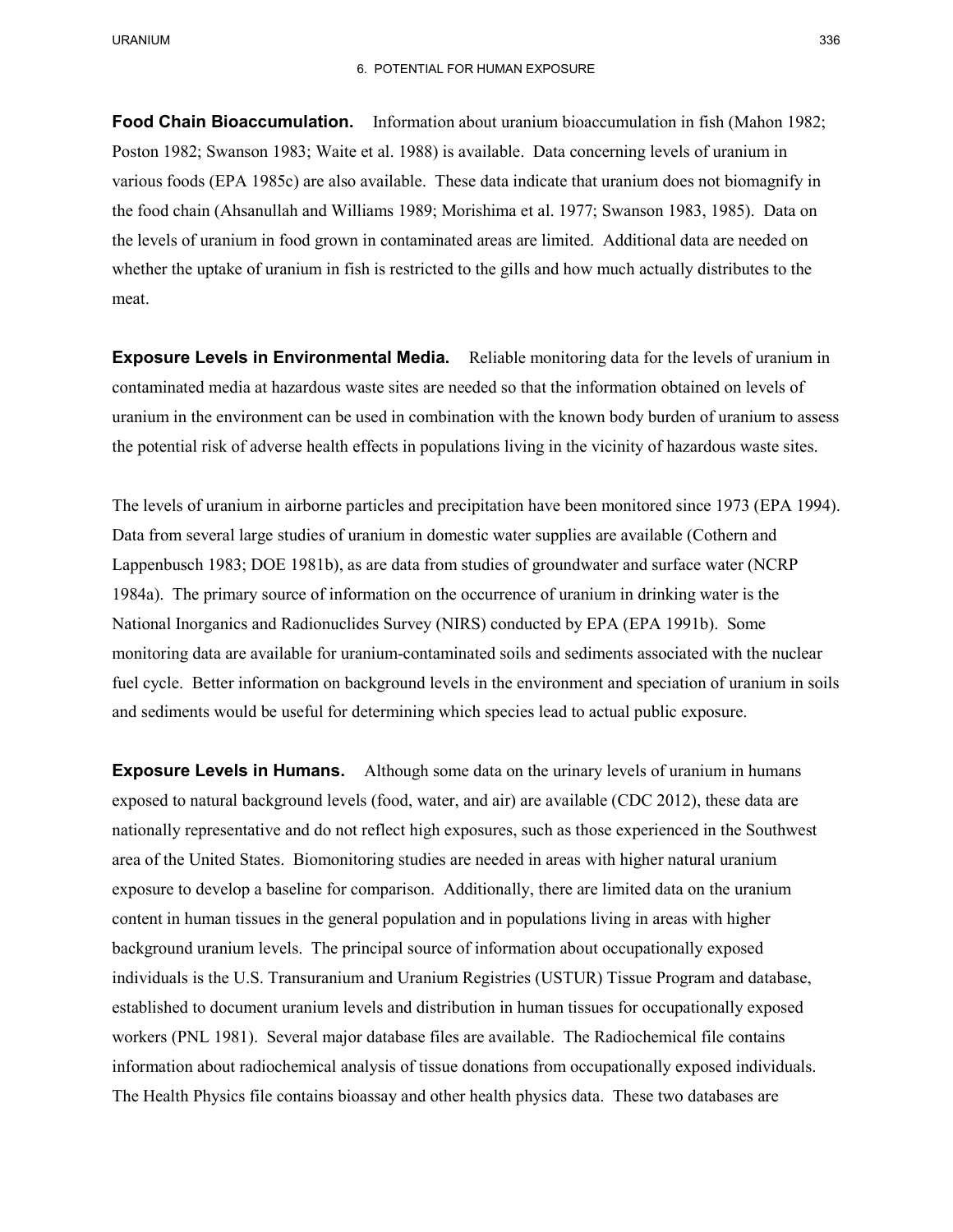#### 6. POTENTIAL FOR HUMAN EXPOSURE

 **Food Chain Bioaccumulation.** Information about uranium bioaccumulation in fish (Mahon 1982; various foods (EPA 1985c) are also available. These data indicate that uranium does not biomagnify in Poston 1982; Swanson 1983; Waite et al. 1988) is available. Data concerning levels of uranium in the food chain (Ahsanullah and Williams 1989; Morishima et al. 1977; Swanson 1983, 1985). Data on

 the levels of uranium in food grown in contaminated areas are limited. Additional data are needed on whether the uptake of uranium in fish is restricted to the gills and how much actually distributes to the meat.

**Exposure Levels in Environmental Media.** Reliable monitoring data for the levels of uranium in the potential risk of adverse health effects in populations living in the vicinity of hazardous waste sites. contaminated media at hazardous waste sites are needed so that the information obtained on levels of uranium in the environment can be used in combination with the known body burden of uranium to assess

The levels of uranium in airborne particles and precipitation have been monitored since 1973 (EPA 1994).<br>Data from several large studies of uranium in domestic water supplies are available (Cothern and Data from several large studies of uranium in domestic water supplies are available (Cothern and 1984a). The primary source of information on the occurrence of uranium in drinking water is the monitoring data are available for uranium-contaminated soils and sediments associated with the nuclear Lappenbusch 1983; DOE 1981b), as are data from studies of groundwater and surface water (NCRP National Inorganics and Radionuclides Survey (NIRS) conducted by EPA (EPA 1991b). Some fuel cycle. Better information on background levels in the environment and speciation of uranium in soils and sediments would be useful for determining which species lead to actual public exposure.

**Exposure Levels in Humans.** Although some data on the urinary levels of uranium in humans nationally representative and do not reflect high exposures, such as those experienced in the Southwest exposure to develop a baseline for comparison. Additionally, there are limited data on the uranium individuals is the U.S. Transuranium and Uranium Registries (USTUR) Tissue Program and database, established to document uranium levels and distribution in human tissues for occupationally exposed workers (PNL 1981). Several major database files are available. The Radiochemical file contains The Health Physics file contains bioassay and other health physics data. These two databases are exposed to natural background levels (food, water, and air) are available (CDC 2012), these data are area of the United States. Biomonitoring studies are needed in areas with higher natural uranium content in human tissues in the general population and in populations living in areas with higher background uranium levels. The principal source of information about occupationally exposed information about radiochemical analysis of tissue donations from occupationally exposed individuals.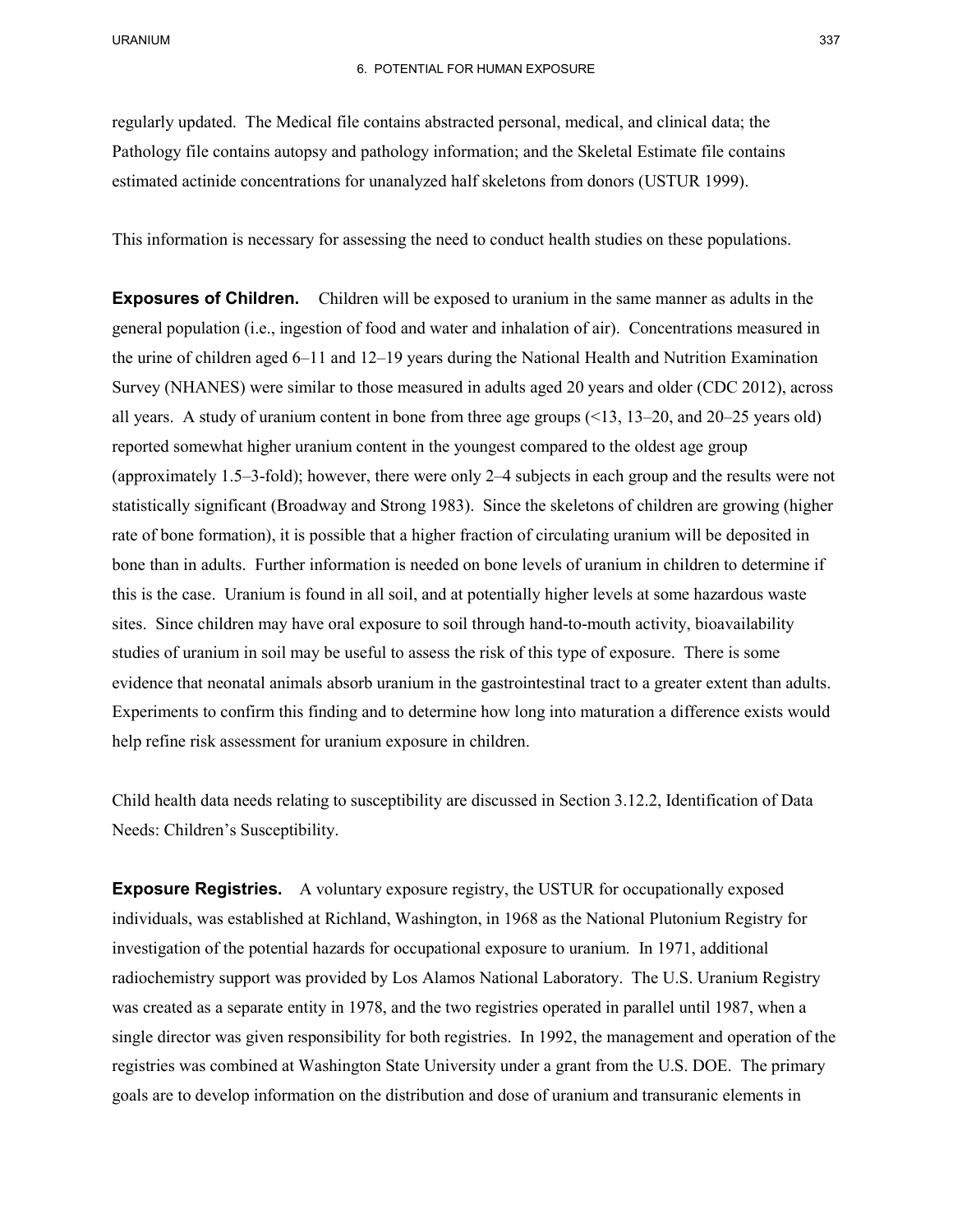regularly updated. The Medical file contains abstracted personal, medical, and clinical data; the Pathology file contains autopsy and pathology information; and the Skeletal Estimate file contains estimated actinide concentrations for unanalyzed half skeletons from donors (USTUR 1999).

This information is necessary for assessing the need to conduct health studies on these populations.

**Exposures of Children.** Children will be exposed to uranium in the same manner as adults in the the urine of children aged 6–11 and 12–19 years during the National Health and Nutrition Examination Survey (NHANES) were similar to those measured in adults aged 20 years and older (CDC 2012), across statistically significant (Broadway and Strong 1983). Since the skeletons of children are growing (higher rate of bone formation), it is possible that a higher fraction of circulating uranium will be deposited in bone than in adults. Further information is needed on bone levels of uranium in children to determine if this is the case. Uranium is found in all soil, and at potentially higher levels at some hazardous waste sites. Since children may have oral exposure to soil through hand-to-mouth activity, bioavailability studies of uranium in soil may be useful to assess the risk of this type of exposure. There is some evidence that neonatal animals absorb uranium in the gastrointestinal tract to a greater extent than adults. help refine risk assessment for uranium exposure in children. general population (i.e., ingestion of food and water and inhalation of air). Concentrations measured in all years. A study of uranium content in bone from three age groups  $\leq 13$ , 13–20, and 20–25 years old) reported somewhat higher uranium content in the youngest compared to the oldest age group (approximately 1.5–3-fold); however, there were only 2–4 subjects in each group and the results were not Experiments to confirm this finding and to determine how long into maturation a difference exists would

Child health data needs relating to susceptibility are discussed in Section 3.12.2, Identification of Data Needs: Children's Susceptibility.

**Exposure Registries.** A voluntary exposure registry, the USTUR for occupationally exposed individuals, was established at Richland, Washington, in 1968 as the National Plutonium Registry for investigation of the potential hazards for occupational exposure to uranium. In 1971, additional single director was given responsibility for both registries. In 1992, the management and operation of the registries was combined at Washington State University under a grant from the U.S. DOE. The primary radiochemistry support was provided by Los Alamos National Laboratory. The U.S. Uranium Registry was created as a separate entity in 1978, and the two registries operated in parallel until 1987, when a goals are to develop information on the distribution and dose of uranium and transuranic elements in